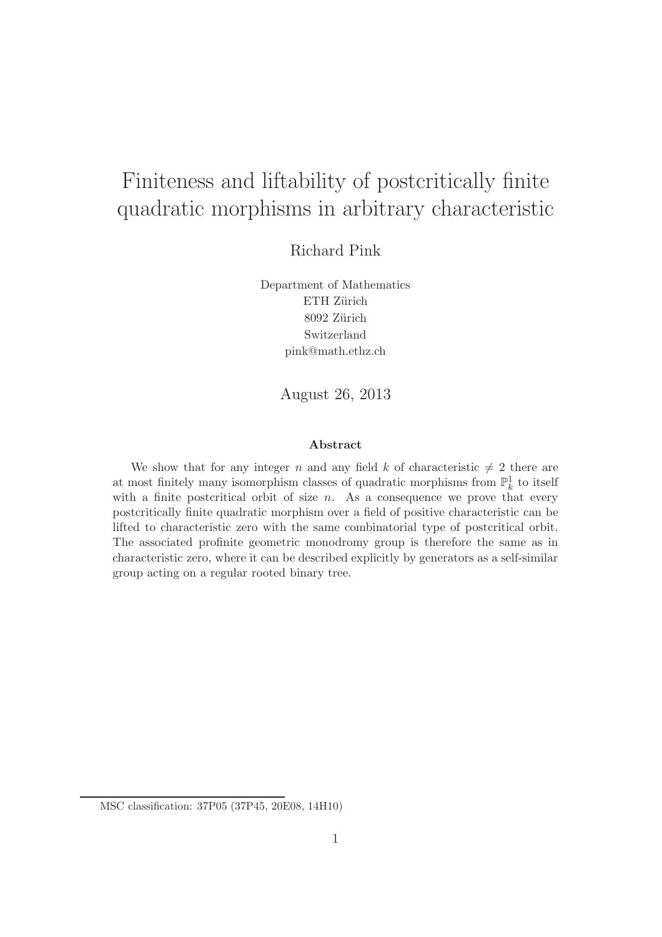# Finiteness and liftability of postcritically finite quadratic morphisms in arbitrary characteristic

Richard Pink

Department of Mathematics ETH Zürich 8092 Zürich Switzerland pink@math.ethz.ch

August 26, 2013

#### Abstract

We show that for any integer n and any field k of characteristic  $\neq 2$  there are at most finitely many isomorphism classes of quadratic morphisms from  $\mathbb{P}^1_k$  to itself with a finite postcritical orbit of size  $n$ . As a consequence we prove that every postcritically finite quadratic morphism over a field of positive characteristic can be lifted to characteristic zero with the same combinatorial type of postcritical orbit. The associated profinite geometric monodromy group is therefore the same as in characteristic zero, where it can be described explicitly by generators as a self-similar group acting on a regular rooted binary tree.

MSC classification: 37P05 (37P45, 20E08, 14H10)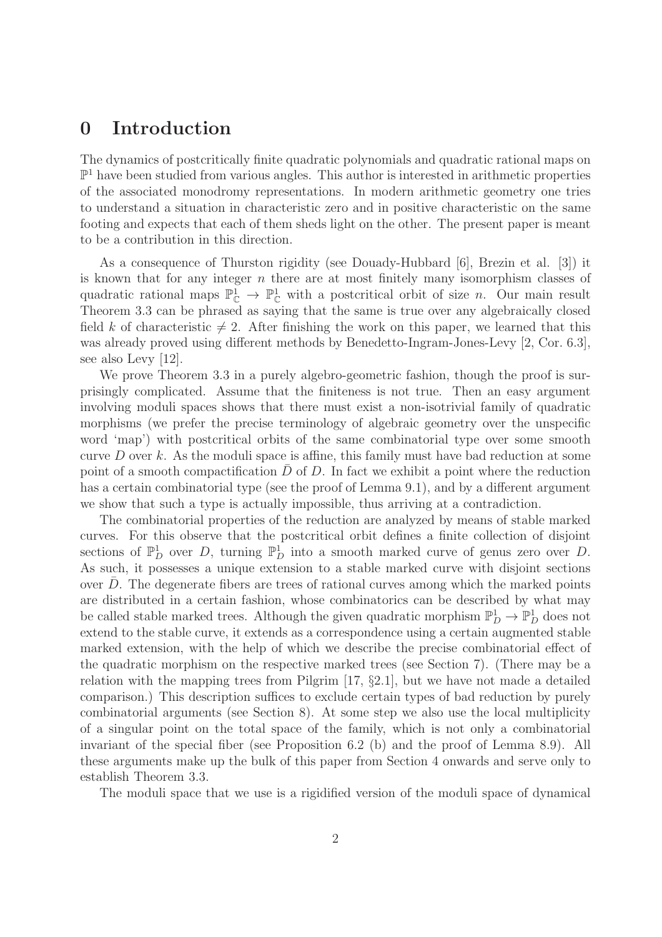#### 0 Introduction

The dynamics of postcritically finite quadratic polynomials and quadratic rational maps on  $\mathbb{P}^1$  have been studied from various angles. This author is interested in arithmetic properties of the associated monodromy representations. In modern arithmetic geometry one tries to understand a situation in characteristic zero and in positive characteristic on the same footing and expects that each of them sheds light on the other. The present paper is meant to be a contribution in this direction.

As a consequence of Thurston rigidity (see Douady-Hubbard [6], Brezin et al. [3]) it is known that for any integer n there are at most finitely many isomorphism classes of quadratic rational maps  $\mathbb{P}^1_{\mathbb{C}} \to \mathbb{P}^1_{\mathbb{C}}$  with a postcritical orbit of size *n*. Our main result Theorem 3.3 can be phrased as saying that the same is true over any algebraically closed field k of characteristic  $\neq 2$ . After finishing the work on this paper, we learned that this was already proved using different methods by Benedetto-Ingram-Jones-Levy [2, Cor. 6.3], see also Levy [12].

We prove Theorem 3.3 in a purely algebro-geometric fashion, though the proof is surprisingly complicated. Assume that the finiteness is not true. Then an easy argument involving moduli spaces shows that there must exist a non-isotrivial family of quadratic morphisms (we prefer the precise terminology of algebraic geometry over the unspecific word 'map') with postcritical orbits of the same combinatorial type over some smooth curve  $D$  over  $k$ . As the moduli space is affine, this family must have bad reduction at some point of a smooth compactification  $\overline{D}$  of D. In fact we exhibit a point where the reduction has a certain combinatorial type (see the proof of Lemma 9.1), and by a different argument we show that such a type is actually impossible, thus arriving at a contradiction.

The combinatorial properties of the reduction are analyzed by means of stable marked curves. For this observe that the postcritical orbit defines a finite collection of disjoint sections of  $\mathbb{P}^1_D$  over D, turning  $\mathbb{P}^1_D$  into a smooth marked curve of genus zero over D. As such, it possesses a unique extension to a stable marked curve with disjoint sections over  $D$ . The degenerate fibers are trees of rational curves among which the marked points are distributed in a certain fashion, whose combinatorics can be described by what may be called stable marked trees. Although the given quadratic morphism  $\mathbb{P}_D^1 \to \mathbb{P}_D^1$  does not extend to the stable curve, it extends as a correspondence using a certain augmented stable marked extension, with the help of which we describe the precise combinatorial effect of the quadratic morphism on the respective marked trees (see Section 7). (There may be a relation with the mapping trees from Pilgrim [17, §2.1], but we have not made a detailed comparison.) This description suffices to exclude certain types of bad reduction by purely combinatorial arguments (see Section 8). At some step we also use the local multiplicity of a singular point on the total space of the family, which is not only a combinatorial invariant of the special fiber (see Proposition 6.2 (b) and the proof of Lemma 8.9). All these arguments make up the bulk of this paper from Section 4 onwards and serve only to establish Theorem 3.3.

The moduli space that we use is a rigidified version of the moduli space of dynamical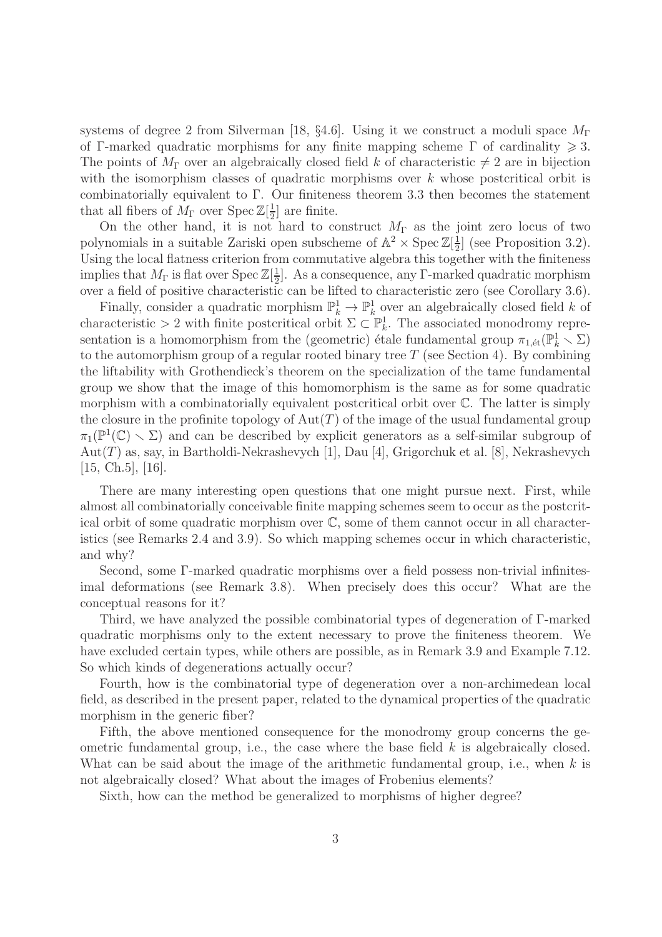systems of degree 2 from Silverman [18, §4.6]. Using it we construct a moduli space  $M_{\Gamma}$ of Γ-marked quadratic morphisms for any finite mapping scheme Γ of cardinality  $\geq 3$ . The points of  $M_{\Gamma}$  over an algebraically closed field k of characteristic  $\neq 2$  are in bijection with the isomorphism classes of quadratic morphisms over  $k$  whose postcritical orbit is combinatorially equivalent to Γ. Our finiteness theorem 3.3 then becomes the statement that all fibers of  $M_{\Gamma}$  over  $\text{Spec } \mathbb{Z}[\frac{1}{2}]$  $\frac{1}{2}$  are finite.

On the other hand, it is not hard to construct  $M_{\Gamma}$  as the joint zero locus of two polynomials in a suitable Zariski open subscheme of  $\mathbb{A}^2 \times \operatorname{Spec} \mathbb{Z}[\frac{1}{2}]$  $\frac{1}{2}$  (see Proposition 3.2). Using the local flatness criterion from commutative algebra this together with the finiteness implies that  $M_{\Gamma}$  is flat over Spec  $\mathbb{Z}[\frac{1}{2}]$  $\frac{1}{2}$ . As a consequence, any Γ-marked quadratic morphism over a field of positive characteristic can be lifted to characteristic zero (see Corollary 3.6).

Finally, consider a quadratic morphism  $\mathbb{P}_k^1 \to \mathbb{P}_k^1$  over an algebraically closed field k of characteristic > 2 with finite postcritical orbit  $\Sigma \subset \mathbb{P}_k^1$ . The associated monodromy representation is a homomorphism from the (geometric) étale fundamental group  $\pi_{1,\'{e}t}(\mathbb{P}_k^1 \setminus \Sigma)$ to the automorphism group of a regular rooted binary tree  $T$  (see Section 4). By combining the liftability with Grothendieck's theorem on the specialization of the tame fundamental group we show that the image of this homomorphism is the same as for some quadratic morphism with a combinatorially equivalent postcritical orbit over C. The latter is simply the closure in the profinite topology of  $Aut(T)$  of the image of the usual fundamental group  $\pi_1(\mathbb{P}^1(\mathbb{C}) \setminus \Sigma)$  and can be described by explicit generators as a self-similar subgroup of  $Aut(T)$  as, say, in Bartholdi-Nekrashevych [1], Dau [4], Grigorchuk et al. [8], Nekrashevych [15, Ch.5], [16].

There are many interesting open questions that one might pursue next. First, while almost all combinatorially conceivable finite mapping schemes seem to occur as the postcritical orbit of some quadratic morphism over C, some of them cannot occur in all characteristics (see Remarks 2.4 and 3.9). So which mapping schemes occur in which characteristic, and why?

Second, some Γ-marked quadratic morphisms over a field possess non-trivial infinitesimal deformations (see Remark 3.8). When precisely does this occur? What are the conceptual reasons for it?

Third, we have analyzed the possible combinatorial types of degeneration of Γ-marked quadratic morphisms only to the extent necessary to prove the finiteness theorem. We have excluded certain types, while others are possible, as in Remark 3.9 and Example 7.12. So which kinds of degenerations actually occur?

Fourth, how is the combinatorial type of degeneration over a non-archimedean local field, as described in the present paper, related to the dynamical properties of the quadratic morphism in the generic fiber?

Fifth, the above mentioned consequence for the monodromy group concerns the geometric fundamental group, i.e., the case where the base field  $k$  is algebraically closed. What can be said about the image of the arithmetic fundamental group, i.e., when  $k$  is not algebraically closed? What about the images of Frobenius elements?

Sixth, how can the method be generalized to morphisms of higher degree?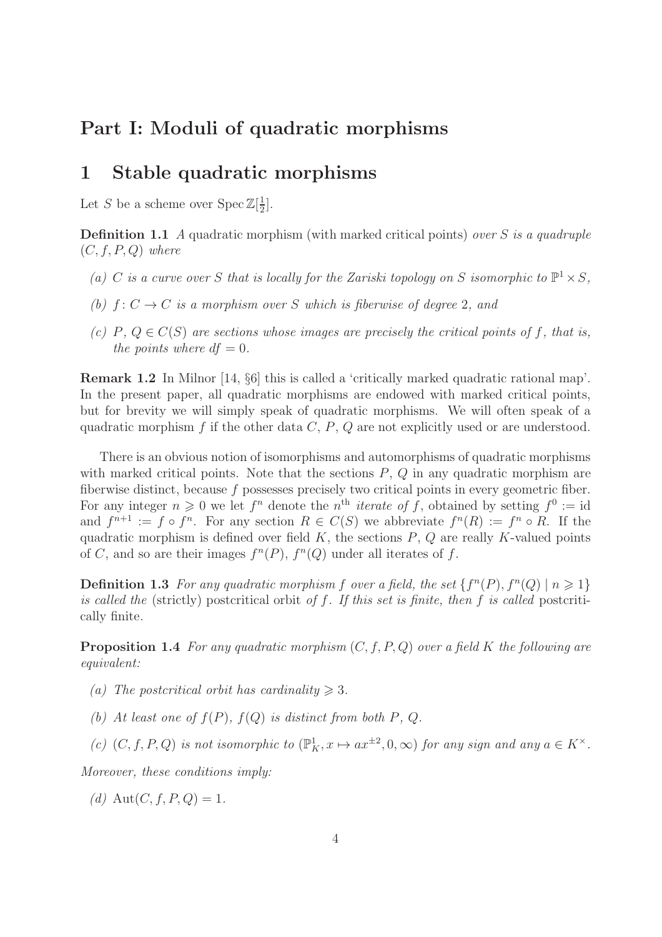### Part I: Moduli of quadratic morphisms

### 1 Stable quadratic morphisms

Let S be a scheme over  $\text{Spec } \mathbb{Z}[\frac{1}{2}]$  $\frac{1}{2}$ .

**Definition 1.1** A quadratic morphism (with marked critical points) over S is a quadruple  $(C, f, P, Q)$  where

- (a) C is a curve over S that is locally for the Zariski topology on S isomorphic to  $\mathbb{P}^1 \times S$ ,
- (b)  $f: C \to C$  is a morphism over S which is fiberwise of degree 2, and
- (c) P,  $Q \in C(S)$  are sections whose images are precisely the critical points of f, that is, the points where  $df = 0$ .

Remark 1.2 In Milnor [14, §6] this is called a 'critically marked quadratic rational map'. In the present paper, all quadratic morphisms are endowed with marked critical points, but for brevity we will simply speak of quadratic morphisms. We will often speak of a quadratic morphism f if the other data  $C, P, Q$  are not explicitly used or are understood.

There is an obvious notion of isomorphisms and automorphisms of quadratic morphisms with marked critical points. Note that the sections  $P, Q$  in any quadratic morphism are fiberwise distinct, because f possesses precisely two critical points in every geometric fiber. For any integer  $n \geqslant 0$  we let  $f^n$  denote the  $n^{\text{th}}$  *iterate of f*, obtained by setting  $f^0 := \text{id}$ and  $f^{n+1} := f \circ f^n$ . For any section  $R \in C(S)$  we abbreviate  $f^n(R) := f^n \circ R$ . If the quadratic morphism is defined over field  $K$ , the sections  $P$ ,  $Q$  are really  $K$ -valued points of C, and so are their images  $f^{n}(P)$ ,  $f^{n}(Q)$  under all iterates of f.

**Definition 1.3** For any quadratic morphism f over a field, the set  $\{f^{n}(P), f^{n}(Q) \mid n \geq 1\}$ is called the (strictly) postcritical orbit of  $f$ . If this set is finite, then  $f$  is called postcritically finite.

**Proposition 1.4** For any quadratic morphism  $(C, f, P, Q)$  over a field K the following are equivalent:

- (a) The postcritical orbit has cardinality  $\geq 3$ .
- (b) At least one of  $f(P)$ ,  $f(Q)$  is distinct from both P, Q.
- (c)  $(C, f, P, Q)$  is not isomorphic to  $(\mathbb{P}^1_K, x \mapsto ax^{\pm 2}, 0, \infty)$  for any sign and any  $a \in K^{\times}$ .

Moreover, these conditions imply:

(d) Aut(C, f, P, Q) = 1.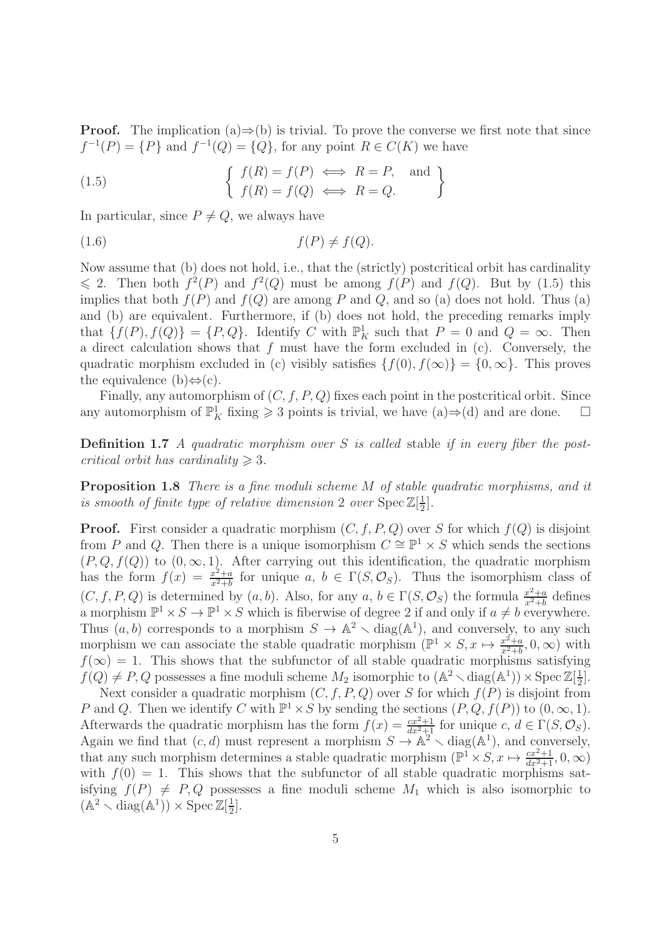**Proof.** The implication  $(a) \Rightarrow (b)$  is trivial. To prove the converse we first note that since  $f^{-1}(P) = \{P\}$  and  $f^{-1}(Q) = \{Q\}$ , for any point  $R \in C(K)$  we have

(1.5) 
$$
\begin{cases} f(R) = f(P) \iff R = P, \text{ and } \\ f(R) = f(Q) \iff R = Q. \end{cases}
$$

In particular, since  $P \neq Q$ , we always have

$$
(1.6) \t f(P) \neq f(Q).
$$

Now assume that (b) does not hold, i.e., that the (strictly) postcritical orbit has cardinality  $\leq 2$ . Then both  $f^2(P)$  and  $f^2(Q)$  must be among  $f(P)$  and  $f(Q)$ . But by (1.5) this implies that both  $f(P)$  and  $f(Q)$  are among P and Q, and so (a) does not hold. Thus (a) and (b) are equivalent. Furthermore, if (b) does not hold, the preceding remarks imply that  $\{f(P), f(Q)\} = \{P, Q\}$ . Identify C with  $\mathbb{P}^1_K$  such that  $P = 0$  and  $Q = \infty$ . Then a direct calculation shows that  $f$  must have the form excluded in  $(c)$ . Conversely, the quadratic morphism excluded in (c) visibly satisfies  $\{f(0), f(\infty)\} = \{0, \infty\}$ . This proves the equivalence (b) $\Leftrightarrow$ (c).

Finally, any automorphism of  $(C, f, P, Q)$  fixes each point in the postcritical orbit. Since any automorphism of  $\mathbb{P}^1_K$  fixing  $\geq 3$  points is trivial, we have  $(a) \Rightarrow (d)$  and are done.  $\Box$ 

**Definition 1.7** A quadratic morphism over S is called stable if in every fiber the postcritical orbit has cardinality  $\geq 3$ .

Proposition 1.8 There is a fine moduli scheme M of stable quadratic morphisms, and it is smooth of finite type of relative dimension 2 over  $\text{Spec } \mathbb{Z}[\frac{1}{2}]$  $\frac{1}{2}$ .

**Proof.** First consider a quadratic morphism  $(C, f, P, Q)$  over S for which  $f(Q)$  is disjoint from P and Q. Then there is a unique isomorphism  $C \cong \mathbb{P}^1 \times S$  which sends the sections  $(P, Q, f(Q))$  to  $(0, \infty, 1)$ . After carrying out this identification, the quadratic morphism has the form  $f(x) = \frac{x^2+a}{x^2+b}$  $\frac{x^2+a}{x^2+b}$  for unique  $a, b \in \Gamma(S, \mathcal{O}_S)$ . Thus the isomorphism class of  $(C, f, P, Q)$  is determined by  $(a, b)$ . Also, for any  $a, b \in \Gamma(S, \mathcal{O}_S)$  the formula  $\frac{x^2+a}{x^2+b}$  $\frac{x^2+a}{x^2+b}$  defines a morphism  $\mathbb{P}^1 \times S \to \mathbb{P}^1 \times S$  which is fiberwise of degree 2 if and only if  $a \neq b$  everywhere. Thus  $(a, b)$  corresponds to a morphism  $S \to \mathbb{A}^2 \setminus \text{diag}(\mathbb{A}^1)$ , and conversely, to any such morphism we can associate the stable quadratic morphism  $(\mathbb{P}^1 \times S, x \mapsto \frac{x^2+a}{x^2+b})$  $\frac{x^2+a}{x^2+b}$ , 0,  $\infty$ ) with  $f(\infty) = 1$ . This shows that the subfunctor of all stable quadratic morphisms satisfying  $f(Q) \neq P, Q$  possesses a fine moduli scheme  $M_2$  isomorphic to  $(\mathbb{A}^2 \setminus \text{diag}(\mathbb{A}^1)) \times \text{Spec } \mathbb{Z}[\frac{1}{2}]$  $\frac{1}{2}$ .

Next consider a quadratic morphism  $(C, f, P, Q)$  over S for which  $f(P)$  is disjoint from P and Q. Then we identify C with  $\mathbb{P}^1 \times S$  by sending the sections  $(P, Q, f(P))$  to  $(0, \infty, 1)$ . Afterwards the quadratic morphism has the form  $f(x) = \frac{cx^2+1}{dx^2+1}$  for unique  $c, d \in \Gamma(S, \mathcal{O}_S)$ . Again we find that  $(c, d)$  must represent a morphism  $S \to \mathbb{A}^2 \setminus \text{diag}(\mathbb{A}^1)$ , and conversely, that any such morphism determines a stable quadratic morphism  $(\mathbb{P}^1 \times S, x \mapsto \frac{cx^2+1}{dx^2+1}, 0, \infty)$ with  $f(0) = 1$ . This shows that the subfunctor of all stable quadratic morphisms satisfying  $f(P) \neq P, Q$  possesses a fine moduli scheme  $M_1$  which is also isomorphic to  $(\mathbb{A}^2 \setminus \text{diag}(\mathbb{A}^1)) \times \text{Spec } \mathbb{Z}[\frac{1}{2}]$  $\frac{1}{2}$ .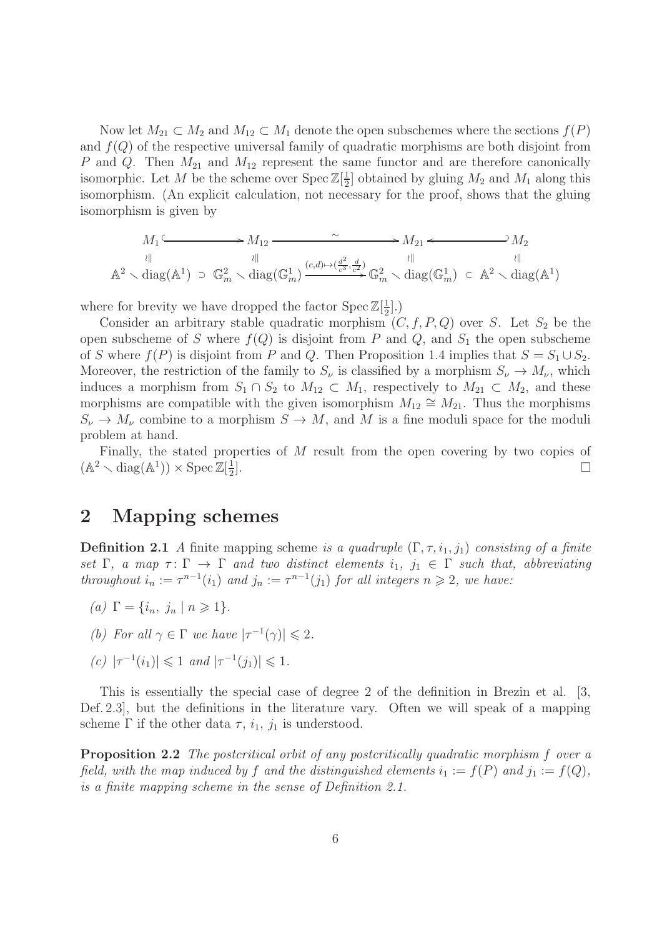Now let  $M_{21} \subset M_2$  and  $M_{12} \subset M_1$  denote the open subschemes where the sections  $f(P)$ and  $f(Q)$  of the respective universal family of quadratic morphisms are both disjoint from P and Q. Then  $M_{21}$  and  $M_{12}$  represent the same functor and are therefore canonically isomorphic. Let M be the scheme over  $\text{Spec } \mathbb{Z}[\frac{1}{2}]$  $\frac{1}{2}$  obtained by gluing  $M_2$  and  $M_1$  along this isomorphism. (An explicit calculation, not necessary for the proof, shows that the gluing isomorphism is given by

$$
M_1 \xrightarrow{\sim} M_{12} \xrightarrow{\sim} M_{21} \xrightarrow{\sim} M_{21} \xrightarrow{\parallel} M_2
$$
  
\n
$$
\downarrow \qquad \qquad \downarrow \qquad \qquad M_1 \xrightarrow{\parallel} M_2
$$
  
\n
$$
\uparrow \qquad \downarrow \qquad \qquad M_1 \xrightarrow{\parallel} M_2
$$
  
\n
$$
\downarrow \qquad \qquad \downarrow \qquad \qquad \downarrow \qquad \qquad M_2
$$
  
\n
$$
\downarrow \qquad \qquad \downarrow \qquad \qquad M_2
$$
  
\n
$$
\downarrow \qquad \qquad \downarrow \qquad \qquad \downarrow \qquad \qquad M_2
$$
  
\n
$$
\downarrow \qquad \qquad \downarrow \qquad \qquad \downarrow \qquad \qquad \downarrow \qquad \qquad \downarrow \qquad \downarrow \qquad \downarrow \qquad \downarrow \qquad \downarrow \qquad \downarrow \qquad \downarrow \qquad \downarrow \qquad \downarrow \qquad \downarrow \qquad \downarrow \qquad \downarrow \qquad \downarrow \qquad \downarrow \qquad \downarrow \qquad \downarrow \qquad \downarrow \qquad \downarrow \qquad \downarrow \qquad \downarrow \qquad \downarrow \qquad \downarrow \qquad \downarrow \qquad \downarrow \qquad \downarrow \qquad \downarrow \qquad \downarrow \qquad \downarrow \qquad \downarrow \qquad \downarrow \qquad \downarrow \qquad \downarrow \qquad \downarrow \qquad \downarrow \qquad \downarrow \qquad \downarrow \qquad \downarrow \qquad \downarrow \qquad \downarrow \qquad \downarrow \qquad \downarrow \qquad \downarrow \qquad \downarrow \qquad \downarrow \qquad \downarrow \qquad \downarrow \qquad \downarrow \qquad \downarrow \qquad \downarrow \qquad \downarrow \qquad \downarrow \qquad \downarrow \qquad \downarrow \qquad \downarrow \qquad \downarrow \qquad \downarrow \qquad \downarrow \qquad \downarrow \qquad \downarrow \qquad \downarrow \qquad \downarrow \qquad \downarrow \qquad \downarrow \qquad \downarrow \qquad \downarrow \qquad \downarrow \qquad \downarrow \qquad \downarrow \qquad \downarrow \qquad \downarrow \qquad \downarrow \qquad \downarrow \qquad \downarrow \qquad \downarrow \qquad \downarrow \qquad \downarrow \qquad \downarrow \qquad \downarrow \qquad \downarrow \qquad
$$

where for brevity we have dropped the factor Spec  $\mathbb{Z}[\frac{1}{2}]$  $\frac{1}{2}$ .)

Consider an arbitrary stable quadratic morphism  $(C, f, P, Q)$  over S. Let  $S_2$  be the open subscheme of S where  $f(Q)$  is disjoint from P and Q, and  $S_1$  the open subscheme of S where  $f(P)$  is disjoint from P and Q. Then Proposition 1.4 implies that  $S = S_1 \cup S_2$ . Moreover, the restriction of the family to  $S_{\nu}$  is classified by a morphism  $S_{\nu} \to M_{\nu}$ , which induces a morphism from  $S_1 \cap S_2$  to  $M_{12} \subset M_1$ , respectively to  $M_{21} \subset M_2$ , and these morphisms are compatible with the given isomorphism  $M_{12} \cong M_{21}$ . Thus the morphisms  $S_{\nu} \to M_{\nu}$  combine to a morphism  $S \to M$ , and M is a fine moduli space for the moduli problem at hand.

Finally, the stated properties of M result from the open covering by two copies of  $(\mathbb{A}^2 \setminus \text{diag}(\mathbb{A}^1)) \times \text{Spec } \mathbb{Z}[\frac{1}{2}]$ 2 ].

#### 2 Mapping schemes

**Definition 2.1** A finite mapping scheme is a quadruple  $(\Gamma, \tau, i_1, j_1)$  consisting of a finite set  $\Gamma$ , a map  $\tau \colon \Gamma \to \Gamma$  and two distinct elements  $i_1, j_1 \in \Gamma$  such that, abbreviating throughout  $i_n := \tau^{n-1}(i_1)$  and  $j_n := \tau^{n-1}(j_1)$  for all integers  $n \geq 2$ , we have:

- (a)  $\Gamma = \{i_n, j_n \mid n \geq 1\}.$
- (b) For all  $\gamma \in \Gamma$  we have  $|\tau^{-1}(\gamma)| \leq 2$ .
- (c)  $|\tau^{-1}(i_1)| \leq 1$  and  $|\tau^{-1}(j_1)| \leq 1$ .

This is essentially the special case of degree 2 of the definition in Brezin et al. [3, Def. 2.3], but the definitions in the literature vary. Often we will speak of a mapping scheme  $\Gamma$  if the other data  $\tau$ ,  $i_1$ ,  $j_1$  is understood.

Proposition 2.2 The postcritical orbit of any postcritically quadratic morphism f over a field, with the map induced by f and the distinguished elements  $i_1 := f(P)$  and  $j_1 := f(Q)$ , is a finite mapping scheme in the sense of Definition 2.1.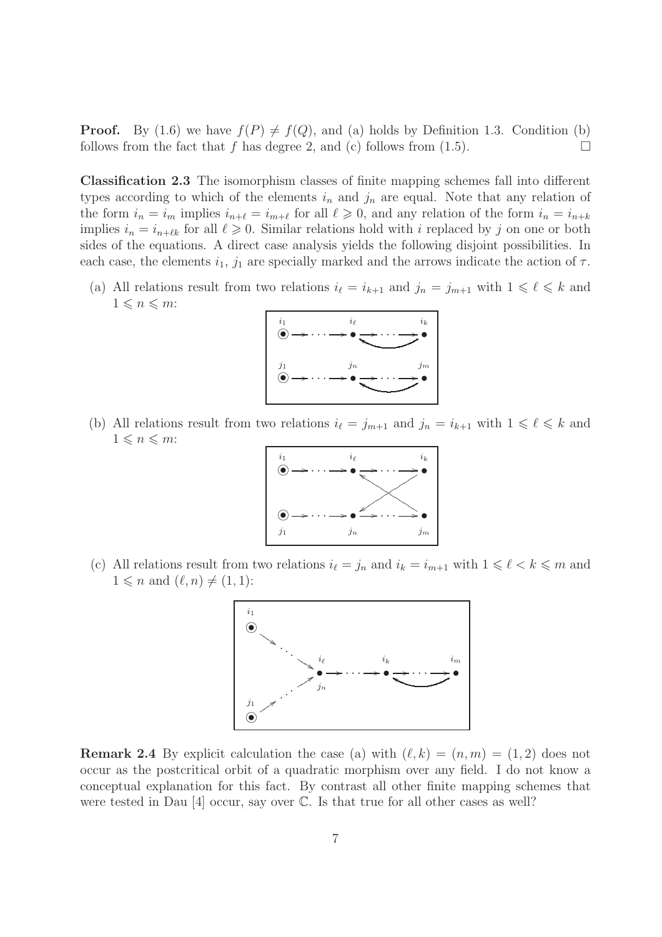**Proof.** By (1.6) we have  $f(P) \neq f(Q)$ , and (a) holds by Definition 1.3. Condition (b) follows from the fact that f has degree 2, and (c) follows from (1.5). follows from the fact that f has degree 2, and (c) follows from  $(1.5)$ .

Classification 2.3 The isomorphism classes of finite mapping schemes fall into different types according to which of the elements  $i_n$  and  $j_n$  are equal. Note that any relation of the form  $i_n = i_m$  implies  $i_{n+\ell} = i_{m+\ell}$  for all  $\ell \geq 0$ , and any relation of the form  $i_n = i_{n+\ell}$ implies  $i_n = i_{n+\ell k}$  for all  $\ell \geq 0$ . Similar relations hold with i replaced by j on one or both sides of the equations. A direct case analysis yields the following disjoint possibilities. In each case, the elements  $i_1$ ,  $j_1$  are specially marked and the arrows indicate the action of  $\tau$ .

(a) All relations result from two relations  $i_{\ell} = i_{k+1}$  and  $j_n = j_{m+1}$  with  $1 \leq \ell \leq k$  and  $1 \leqslant n \leqslant m$ :



(b) All relations result from two relations  $i_{\ell} = j_{m+1}$  and  $j_n = i_{k+1}$  with  $1 \leq \ell \leq k$  and  $1\leqslant n\leqslant m$ :



(c) All relations result from two relations  $i_{\ell} = j_n$  and  $i_k = i_{m+1}$  with  $1 \leq \ell \leq k \leq m$  and  $1 \leqslant n$  and  $(\ell, n) \neq (1, 1)$ :



**Remark 2.4** By explicit calculation the case (a) with  $(\ell, k) = (n, m) = (1, 2)$  does not occur as the postcritical orbit of a quadratic morphism over any field. I do not know a conceptual explanation for this fact. By contrast all other finite mapping schemes that were tested in Dau  $[4]$  occur, say over  $\mathbb{C}$ . Is that true for all other cases as well?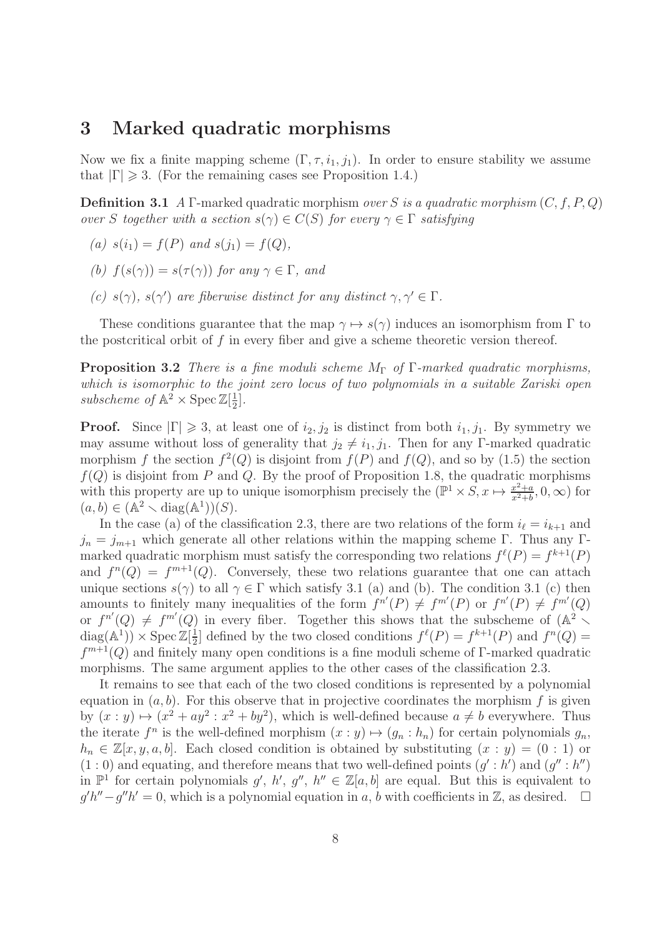#### 3 Marked quadratic morphisms

Now we fix a finite mapping scheme  $(\Gamma, \tau, i_1, j_1)$ . In order to ensure stability we assume that  $|\Gamma| \geq 3$ . (For the remaining cases see Proposition 1.4.)

**Definition 3.1** A Γ-marked quadratic morphism over S is a quadratic morphism  $(C, f, P, Q)$ over S together with a section  $s(\gamma) \in C(S)$  for every  $\gamma \in \Gamma$  satisfying

- (a)  $s(i_1) = f(P)$  and  $s(j_1) = f(Q)$ ,
- (b)  $f(s(\gamma)) = s(\tau(\gamma))$  for any  $\gamma \in \Gamma$ , and
- (c)  $s(\gamma)$ ,  $s(\gamma')$  are fiberwise distinct for any distinct  $\gamma, \gamma' \in \Gamma$ .

These conditions guarantee that the map  $\gamma \mapsto s(\gamma)$  induces an isomorphism from  $\Gamma$  to the postcritical orbit of  $f$  in every fiber and give a scheme theoretic version thereof.

**Proposition 3.2** There is a fine moduli scheme  $M_{\Gamma}$  of  $\Gamma$ -marked quadratic morphisms, which is isomorphic to the joint zero locus of two polynomials in a suitable Zariski open subscheme of  $\mathbb{A}^2 \times \operatorname{Spec} \mathbb{Z}[\frac{1}{2}]$  $\frac{1}{2}$ .

**Proof.** Since  $|\Gamma| \geq 3$ , at least one of  $i_2, j_2$  is distinct from both  $i_1, j_1$ . By symmetry we may assume without loss of generality that  $j_2 \neq i_1, j_1$ . Then for any Γ-marked quadratic morphism f the section  $f^2(Q)$  is disjoint from  $f(P)$  and  $f(Q)$ , and so by (1.5) the section  $f(Q)$  is disjoint from P and Q. By the proof of Proposition 1.8, the quadratic morphisms with this property are up to unique isomorphism precisely the  $(\mathbb{P}^1 \times S, x \mapsto \frac{x^2+a}{x^2+b})$  $\frac{x^2+a}{x^2+b}$ , 0,  $\infty$ ) for  $(a, b) \in (\mathbb{A}^2 \setminus \text{diag}(\mathbb{A}^1))(S).$ 

In the case (a) of the classification 2.3, there are two relations of the form  $i_{\ell} = i_{k+1}$  and  $j_n = j_{m+1}$  which generate all other relations within the mapping scheme Γ. Thus any Γmarked quadratic morphism must satisfy the corresponding two relations  $f^{\ell}(P) = f^{k+1}(P)$ and  $f^{n}(Q) = f^{m+1}(Q)$ . Conversely, these two relations guarantee that one can attach unique sections  $s(\gamma)$  to all  $\gamma \in \Gamma$  which satisfy 3.1 (a) and (b). The condition 3.1 (c) then amounts to finitely many inequalities of the form  $f^{n'}(P) \neq f^{m'}(P)$  or  $f^{n'}(P) \neq f^{m'}(Q)$ or  $f^{n'}(Q) \neq f^{m'}(Q)$  in every fiber. Together this shows that the subscheme of  $(\mathbb{A}^2 \setminus$  $diag(A^1)) \times Spec Z[\frac{1}{2}]$  $\frac{1}{2}$  defined by the two closed conditions  $f^{\ell}(P) = f^{k+1}(P)$  and  $f^{n}(Q) =$  $f^{m+1}(Q)$  and finitely many open conditions is a fine moduli scheme of Γ-marked quadratic morphisms. The same argument applies to the other cases of the classification 2.3.

It remains to see that each of the two closed conditions is represented by a polynomial equation in  $(a, b)$ . For this observe that in projective coordinates the morphism f is given by  $(x : y) \mapsto (x^2 + ay^2 : x^2 + by^2)$ , which is well-defined because  $a \neq b$  everywhere. Thus the iterate  $f^n$  is the well-defined morphism  $(x : y) \mapsto (g_n : h_n)$  for certain polynomials  $g_n$ ,  $h_n \in \mathbb{Z}[x, y, a, b]$ . Each closed condition is obtained by substituting  $(x : y) = (0 : 1)$  or  $(1:0)$  and equating, and therefore means that two well-defined points  $(g':h')$  and  $(g'':h'')$ in  $\mathbb{P}^1$  for certain polynomials  $g'$ ,  $h'$ ,  $g''$ ,  $h'' \in \mathbb{Z}[a, b]$  are equal. But this is equivalent to  $g'h''-g''h' = 0$ , which is a polynomial equation in a, b with coefficients in Z, as desired.  $\square$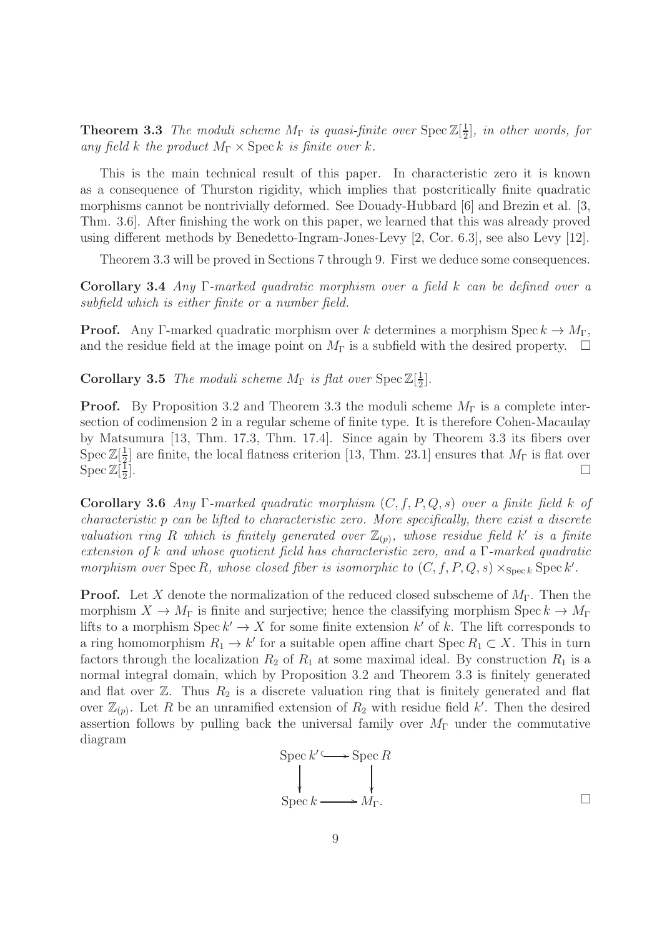**Theorem 3.3** The moduli scheme  $M_{\Gamma}$  is quasi-finite over  $\text{Spec } \mathbb{Z}[\frac{1}{2}]$  $\frac{1}{2}$ , in other words, for any field k the product  $M_{\Gamma} \times \operatorname{Spec} k$  is finite over k.

This is the main technical result of this paper. In characteristic zero it is known as a consequence of Thurston rigidity, which implies that postcritically finite quadratic morphisms cannot be nontrivially deformed. See Douady-Hubbard [6] and Brezin et al. [3, Thm. 3.6]. After finishing the work on this paper, we learned that this was already proved using different methods by Benedetto-Ingram-Jones-Levy [2, Cor. 6.3], see also Levy [12].

Theorem 3.3 will be proved in Sections 7 through 9. First we deduce some consequences.

Corollary 3.4 Any Γ-marked quadratic morphism over a field k can be defined over a subfield which is either finite or a number field.

**Proof.** Any Γ-marked quadratic morphism over k determines a morphism Spec  $k \to M_{\Gamma}$ , and the residue field at the image point on  $M_{\Gamma}$  is a subfield with the desired property.  $\Box$ 

**Corollary 3.5** The moduli scheme  $M_{\Gamma}$  is flat over  $\text{Spec } \mathbb{Z}[\frac{1}{2}]$  $\frac{1}{2}$ .

**Proof.** By Proposition 3.2 and Theorem 3.3 the moduli scheme  $M_{\Gamma}$  is a complete intersection of codimension 2 in a regular scheme of finite type. It is therefore Cohen-Macaulay by Matsumura [13, Thm. 17.3, Thm. 17.4]. Since again by Theorem 3.3 its fibers over  $\operatorname{Spec} \mathbb{Z}[\frac{1}{2}]$  $\frac{1}{2}$  are finite, the local flatness criterion [13, Thm. 23.1] ensures that  $M_{\Gamma}$  is flat over  $\operatorname{Spec} \mathbb{Z}[\frac{1}{2}]$ 2 ].

Corollary 3.6 Any Γ-marked quadratic morphism  $(C, f, P, Q, s)$  over a finite field k of characteristic p can be lifted to characteristic zero. More specifically, there exist a discrete valuation ring R which is finitely generated over  $\mathbb{Z}_{(p)}$ , whose residue field k' is a finite extension of k and whose quotient field has characteristic zero, and a Γ-marked quadratic morphism over  $\text{Spec } R$ , whose closed fiber is isomorphic to  $(C, f, P, Q, s) \times_{\text{Spec } k} \text{Spec } k'$ .

**Proof.** Let X denote the normalization of the reduced closed subscheme of  $M_{\Gamma}$ . Then the morphism  $X \to M_{\Gamma}$  is finite and surjective; hence the classifying morphism Spec  $k \to M_{\Gamma}$ lifts to a morphism  $\operatorname{Spec} k' \to X$  for some finite extension k' of k. The lift corresponds to a ring homomorphism  $R_1 \to k'$  for a suitable open affine chart Spec  $R_1 \subset X$ . This in turn factors through the localization  $R_2$  of  $R_1$  at some maximal ideal. By construction  $R_1$  is a normal integral domain, which by Proposition 3.2 and Theorem 3.3 is finitely generated and flat over  $\mathbb{Z}$ . Thus  $R_2$  is a discrete valuation ring that is finitely generated and flat over  $\mathbb{Z}_{(p)}$ . Let R be an unramified extension of  $R_2$  with residue field k'. Then the desired assertion follows by pulling back the universal family over  $M_{\Gamma}$  under the commutative diagram

$$
\text{Spec } k' \longrightarrow \text{Spec } R
$$
\n
$$
\downarrow \qquad \qquad \downarrow
$$
\n
$$
\text{Spec } k \longrightarrow M_{\Gamma}.
$$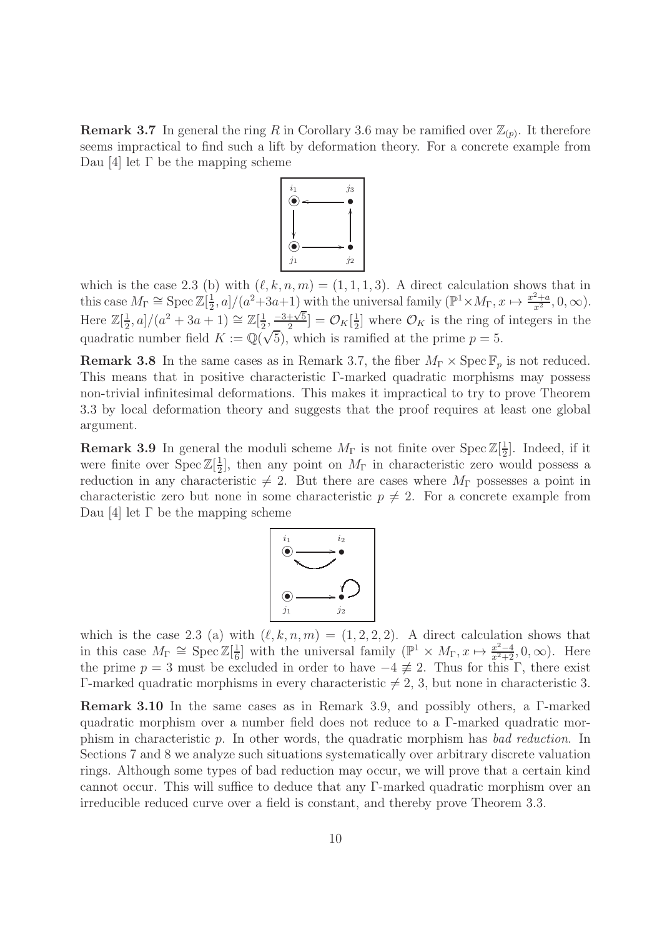**Remark 3.7** In general the ring R in Corollary 3.6 may be ramified over  $\mathbb{Z}_{(p)}$ . It therefore seems impractical to find such a lift by deformation theory. For a concrete example from Dau [4] let Γ be the mapping scheme



which is the case 2.3 (b) with  $(\ell, k, n, m) = (1, 1, 1, 3)$ . A direct calculation shows that in this case  $M_{\Gamma} \cong \operatorname{Spec} \mathbb{Z}[\frac{1}{2}]$  $\frac{1}{2}$ , a]/(a<sup>2</sup>+3a+1) with the universal family ( $\mathbb{P}^1 \times M_\Gamma$ ,  $x \mapsto \frac{x^2+a}{x^2}$  $\frac{z+a}{x^2}, 0, \infty$ ). Here  $\mathbb{Z}[\frac{1}{2}]$  $\frac{1}{2}$ , a]/(a<sup>2</sup> + 3a + 1)  $\cong \mathbb{Z}[\frac{1}{2}]$  $\frac{1}{2}, \frac{-3+\sqrt{5}}{2}$  $\frac{+\sqrt{5}}{2}$ ] =  $\mathcal{O}_K[\frac{1}{2}]$  $\frac{1}{2}$  where  $\mathcal{O}_K$  is the ring of integers in the quadratic number field  $K := \mathbb{Q}(\sqrt{5})$ , which is ramified at the prime  $p = 5$ .

**Remark 3.8** In the same cases as in Remark 3.7, the fiber  $M_{\Gamma} \times \text{Spec } \mathbb{F}_p$  is not reduced. This means that in positive characteristic Γ-marked quadratic morphisms may possess non-trivial infinitesimal deformations. This makes it impractical to try to prove Theorem 3.3 by local deformation theory and suggests that the proof requires at least one global argument.

**Remark 3.9** In general the moduli scheme  $M_{\Gamma}$  is not finite over  $\text{Spec } \mathbb{Z}[\frac{1}{2}]$  $\frac{1}{2}$ . Indeed, if it were finite over  $\text{Spec } \mathbb{Z}[\frac{1}{2}]$  $\frac{1}{2}$ , then any point on  $M_{\Gamma}$  in characteristic zero would possess a reduction in any characteristic  $\neq$  2. But there are cases where  $M_{\Gamma}$  possesses a point in characteristic zero but none in some characteristic  $p \neq 2$ . For a concrete example from Dau [4] let Γ be the mapping scheme



which is the case 2.3 (a) with  $(\ell, k, n, m) = (1, 2, 2, 2)$ . A direct calculation shows that in this case  $M_{\Gamma} \cong \operatorname{Spec} \mathbb{Z}[\frac{1}{6}]$  $\frac{1}{6}$  with the universal family  $(\mathbb{P}^1 \times M_\Gamma, x \mapsto \frac{x^2-4}{x^2+2}, 0, \infty)$ . Here the prime  $p = 3$  must be excluded in order to have  $-4 \neq 2$ . Thus for this Γ, there exist Γ-marked quadratic morphisms in every characteristic  $\neq 2, 3$ , but none in characteristic 3.

Remark 3.10 In the same cases as in Remark 3.9, and possibly others, a Γ-marked quadratic morphism over a number field does not reduce to a Γ-marked quadratic morphism in characteristic p. In other words, the quadratic morphism has bad reduction. In Sections 7 and 8 we analyze such situations systematically over arbitrary discrete valuation rings. Although some types of bad reduction may occur, we will prove that a certain kind cannot occur. This will suffice to deduce that any Γ-marked quadratic morphism over an irreducible reduced curve over a field is constant, and thereby prove Theorem 3.3.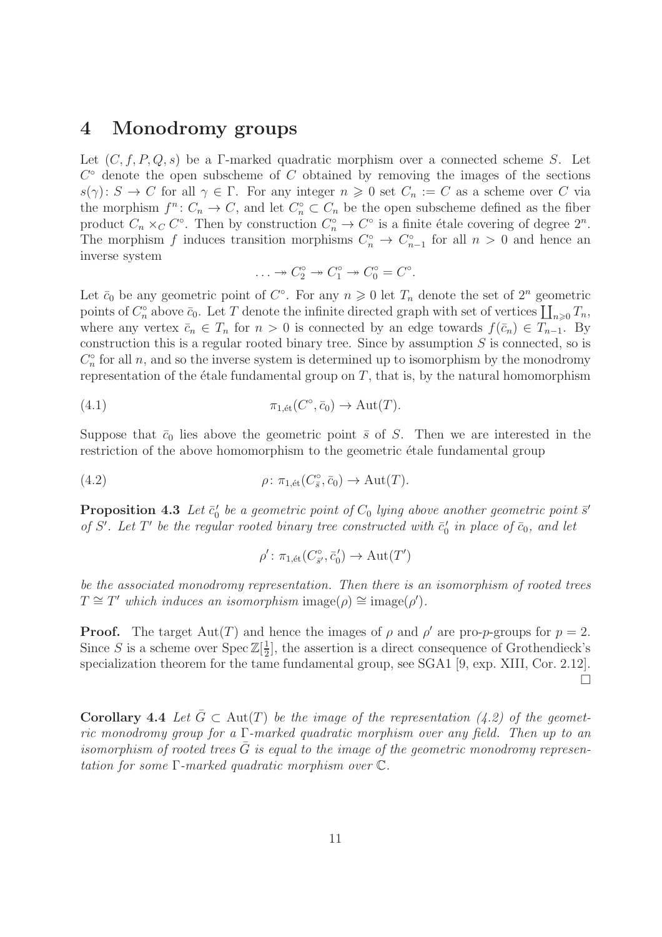#### 4 Monodromy groups

Let  $(C, f, P, Q, s)$  be a Γ-marked quadratic morphism over a connected scheme S. Let  $C^{\circ}$  denote the open subscheme of C obtained by removing the images of the sections  $s(\gamma): S \to C$  for all  $\gamma \in \Gamma$ . For any integer  $n \geq 0$  set  $C_n := C$  as a scheme over C via the morphism  $f^n: C_n \to C$ , and let  $C_n^{\circ} \subset C_n$  be the open subscheme defined as the fiber product  $C_n \times_C C^\circ$ . Then by construction  $C_n^\circ \to C^\circ$  is a finite étale covering of degree  $2^n$ . The morphism f induces transition morphisms  $C_n^{\circ} \to C_{n-1}^{\circ}$  for all  $n > 0$  and hence an inverse system

$$
\ldots \to C_2^{\circ} \to C_1^{\circ} \to C_0^{\circ} = C^{\circ}.
$$

Let  $\bar{c}_0$  be any geometric point of  $C^{\circ}$ . For any  $n \geq 0$  let  $T_n$  denote the set of  $2^n$  geometric points of  $C_n^{\circ}$  above  $\bar{c}_0$ . Let T denote the infinite directed graph with set of vertices  $\prod_{n\geqslant 0}T_n$ , where any vertex  $\bar{c}_n \in T_n$  for  $n > 0$  is connected by an edge towards  $f(\bar{c}_n) \in T_{n-1}$ . By construction this is a regular rooted binary tree. Since by assumption  $S$  is connected, so is  $C_n^{\circ}$  for all n, and so the inverse system is determined up to isomorphism by the monodromy representation of the étale fundamental group on  $T$ , that is, by the natural homomorphism

(4.1) 
$$
\pi_{1,\text{\'et}}(C^{\circ}, \bar{c}_0) \to \text{Aut}(T).
$$

Suppose that  $\bar{c}_0$  lies above the geometric point  $\bar{s}$  of S. Then we are interested in the restriction of the above homomorphism to the geometric étale fundamental group

(4.2) 
$$
\rho \colon \pi_{1,\text{\'et}}(C^{\circ}_{\bar{s}}, \bar{c}_0) \to \text{Aut}(T).
$$

**Proposition 4.3** Let  $\bar{c}'_0$  be a geometric point of  $C_0$  lying above another geometric point  $\bar{s}'$ of S'. Let T' be the regular rooted binary tree constructed with  $\bar{c}'_0$  in place of  $\bar{c}_0$ , and let

$$
\rho'\colon \pi_{1, \text{\'et}}(C^\circ_{\bar{s}'}, \bar{c}'_0) \to \text{Aut}(T')
$$

be the associated monodromy representation. Then there is an isomorphism of rooted trees  $T \cong T'$  which induces an isomorphism image( $\rho$ ) ≅ image( $\rho'$ ).

**Proof.** The target  $Aut(T)$  and hence the images of  $\rho$  and  $\rho'$  are pro-p-groups for  $p = 2$ . Since S is a scheme over  $\text{Spec } \mathbb{Z}[\frac{1}{2}]$  $\frac{1}{2}$ , the assertion is a direct consequence of Grothendieck's specialization theorem for the tame fundamental group, see SGA1 [9, exp. XIII, Cor. 2.12].  $\Box$ 

**Corollary 4.4** Let  $\bar{G} \subset Aut(T)$  be the image of the representation (4.2) of the geometric monodromy group for a  $\Gamma$ -marked quadratic morphism over any field. Then up to an isomorphism of rooted trees  $\bar{G}$  is equal to the image of the geometric monodromy representation for some Γ-marked quadratic morphism over C.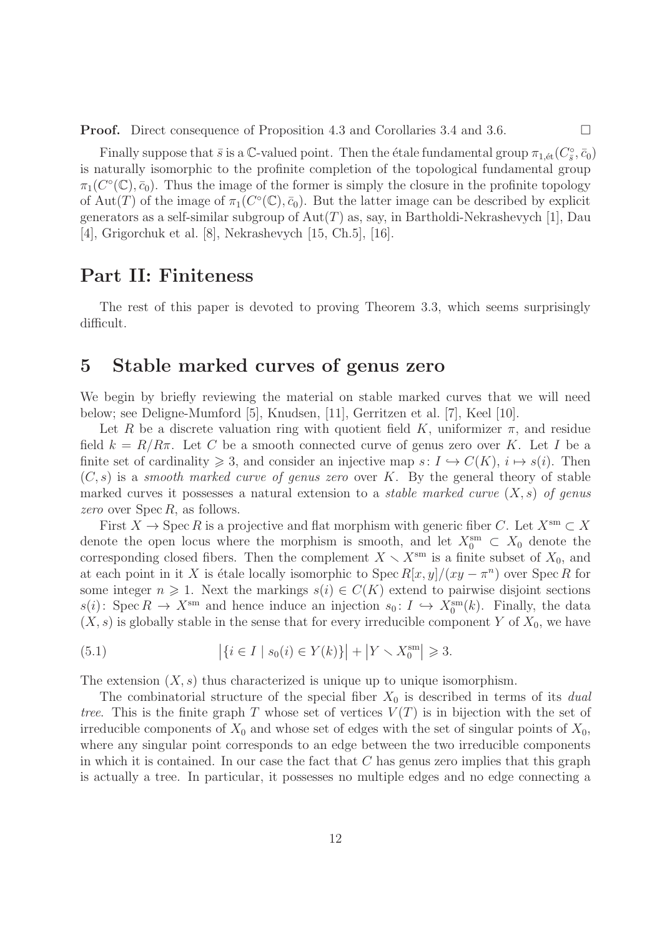**Proof.** Direct consequence of Proposition 4.3 and Corollaries 3.4 and 3.6. □

Finally suppose that  $\bar{s}$  is a C-valued point. Then the étale fundamental group  $\pi_{1,\'{e}t}(C^{\circ}_{\bar{s}}, \bar{c}_0)$ is naturally isomorphic to the profinite completion of the topological fundamental group  $\pi_1(C^{\circ}(\mathbb{C}), \bar{c}_0)$ . Thus the image of the former is simply the closure in the profinite topology of Aut(T) of the image of  $\pi_1(C^{\circ}(\mathbb{C}), \bar{c}_0)$ . But the latter image can be described by explicit generators as a self-similar subgroup of  $Aut(T)$  as, say, in Bartholdi-Nekrashevych [1], Dau [4], Grigorchuk et al. [8], Nekrashevych [15, Ch.5], [16].

#### Part II: Finiteness

The rest of this paper is devoted to proving Theorem 3.3, which seems surprisingly difficult.

#### 5 Stable marked curves of genus zero

We begin by briefly reviewing the material on stable marked curves that we will need below; see Deligne-Mumford [5], Knudsen, [11], Gerritzen et al. [7], Keel [10].

Let R be a discrete valuation ring with quotient field K, uniformizer  $\pi$ , and residue field  $k = R/R\pi$ . Let C be a smooth connected curve of genus zero over K. Let I be a finite set of cardinality  $\geq 3$ , and consider an injective map  $s: I \hookrightarrow C(K), i \mapsto s(i)$ . Then  $(C, s)$  is a *smooth marked curve of genus zero* over K. By the general theory of stable marked curves it possesses a natural extension to a *stable marked curve*  $(X, s)$  of genus zero over  $\text{Spec } R$ , as follows.

First  $X \to \operatorname{Spec} R$  is a projective and flat morphism with generic fiber C. Let  $X^{\operatorname{sm}} \subset X$ denote the open locus where the morphism is smooth, and let  $X_0^{\text{sm}} \subset X_0$  denote the corresponding closed fibers. Then the complement  $X \setminus X^{\text{sm}}$  is a finite subset of  $X_0$ , and at each point in it X is étale locally isomorphic to  $\text{Spec } R[x, y]/(xy - \pi^n)$  over  $\text{Spec } R$  for some integer  $n \geq 1$ . Next the markings  $s(i) \in C(K)$  extend to pairwise disjoint sections  $s(i)$ : Spec  $R \to X^{\text{sm}}$  and hence induce an injection  $s_0: I \hookrightarrow X_0^{\text{sm}}(k)$ . Finally, the data  $(X, s)$  is globally stable in the sense that for every irreducible component Y of  $X_0$ , we have

(5.1) 
$$
\left| \{ i \in I \mid s_0(i) \in Y(k) \} \right| + \left| Y \setminus X_0^{\text{sm}} \right| \geq 3.
$$

The extension  $(X, s)$  thus characterized is unique up to unique isomorphism.

The combinatorial structure of the special fiber  $X_0$  is described in terms of its *dual* tree. This is the finite graph T whose set of vertices  $V(T)$  is in bijection with the set of irreducible components of  $X_0$  and whose set of edges with the set of singular points of  $X_0$ , where any singular point corresponds to an edge between the two irreducible components in which it is contained. In our case the fact that  $C$  has genus zero implies that this graph is actually a tree. In particular, it possesses no multiple edges and no edge connecting a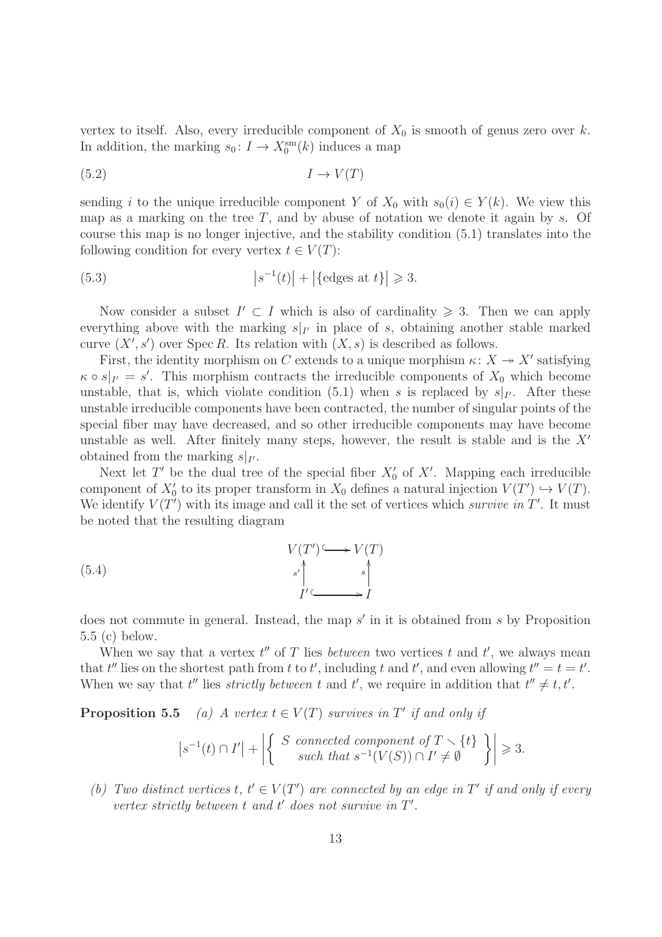vertex to itself. Also, every irreducible component of  $X_0$  is smooth of genus zero over k. In addition, the marking  $s_0: I \to X_0^{\text{sm}}(k)$  induces a map

$$
(5.2) \t I \to V(T)
$$

sending i to the unique irreducible component Y of  $X_0$  with  $s_0(i) \in Y(k)$ . We view this map as a marking on the tree  $T$ , and by abuse of notation we denote it again by  $s$ . Of course this map is no longer injective, and the stability condition (5.1) translates into the following condition for every vertex  $t \in V(T)$ :

(5.3) 
$$
\left| s^{-1}(t) \right| + \left| \{ \text{edges at } t \} \right| \geq 3.
$$

Now consider a subset  $I' \subset I$  which is also of cardinality  $\geq 3$ . Then we can apply everything above with the marking  $s|_{I'}$  in place of s, obtaining another stable marked curve  $(X', s')$  over Spec R. Its relation with  $(X, s)$  is described as follows.

First, the identity morphism on C extends to a unique morphism  $\kappa: X \to X'$  satisfying  $\kappa \circ s|_{I'} = s'$ . This morphism contracts the irreducible components of  $X_0$  which become unstable, that is, which violate condition (5.1) when s is replaced by  $s|_{I'}$ . After these unstable irreducible components have been contracted, the number of singular points of the special fiber may have decreased, and so other irreducible components may have become unstable as well. After finitely many steps, however, the result is stable and is the  $X'$ obtained from the marking  $s|_{I'}$ .

Next let T' be the dual tree of the special fiber  $X'_{0}$  of X'. Mapping each irreducible component of  $X'_0$  to its proper transform in  $X_0$  defines a natural injection  $V(T') \hookrightarrow V(T)$ . We identify  $V(T')$  with its image and call it the set of vertices which survive in T'. It must be noted that the resulting diagram

(5.4) 
$$
V(T') \longrightarrow V(T)
$$

$$
s' \downarrow s' \downarrow s' \downarrow s'
$$

$$
I' \longrightarrow I
$$

does not commute in general. Instead, the map s' in it is obtained from s by Proposition 5.5 (c) below.

When we say that a vertex  $t''$  of T lies *between* two vertices t and  $t'$ , we always mean that  $t''$  lies on the shortest path from t to t', including t and t', and even allowing  $t'' = t = t'$ . When we say that  $t''$  lies *strictly between*  $t$  and  $t'$ , we require in addition that  $t'' \neq t, t'$ .

**Proposition 5.5** (a) A vertex  $t \in V(T)$  survives in T' if and only if

$$
\left|s^{-1}(t) \cap I'\right| + \left|\left\{\begin{array}{c} S \text{ connected component of } T \setminus \{t\} \\ \text{such that } s^{-1}(V(S)) \cap I' \neq \emptyset \end{array}\right\}\right| \geq 3.
$$

(b) Two distinct vertices  $t, t' \in V(T')$  are connected by an edge in T' if and only if every vertex strictly between  $t$  and  $t'$  does not survive in  $T'$ .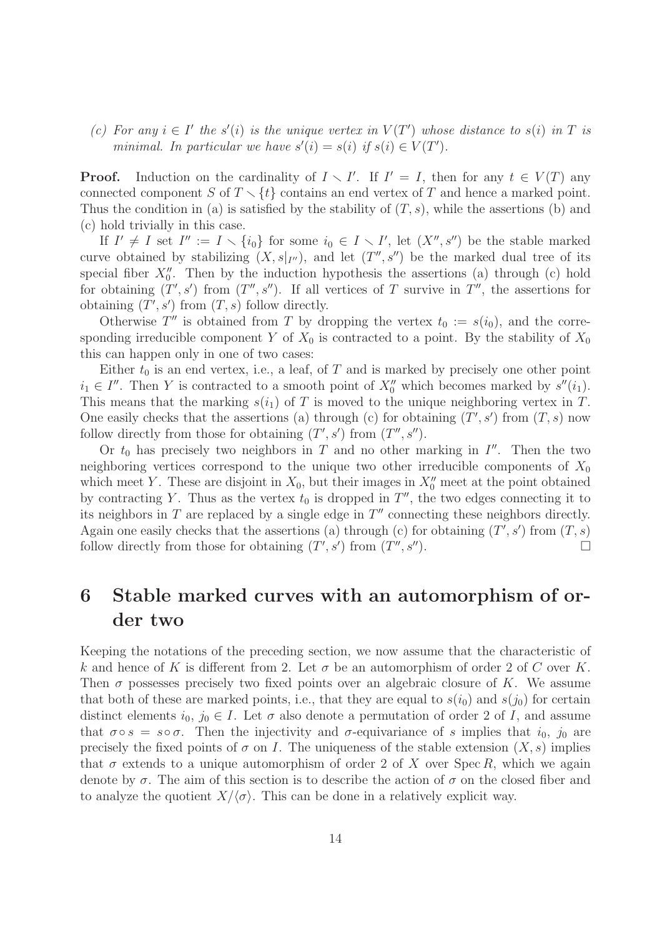(c) For any  $i \in I'$  the s'(i) is the unique vertex in  $V(T')$  whose distance to s(i) in T is minimal. In particular we have  $s'(i) = s(i)$  if  $s(i) \in V(T')$ .

**Proof.** Induction on the cardinality of  $I \setminus I'$ . If  $I' = I$ , then for any  $t \in V(T)$  any connected component S of  $T \setminus \{t\}$  contains an end vertex of T and hence a marked point. Thus the condition in (a) is satisfied by the stability of  $(T, s)$ , while the assertions (b) and (c) hold trivially in this case.

If  $I' \neq I$  set  $I'' := I \setminus \{i_0\}$  for some  $i_0 \in I \setminus I'$ , let  $(X'', s'')$  be the stable marked curve obtained by stabilizing  $(X, s|_{I''})$ , and let  $(T'', s'')$  be the marked dual tree of its special fiber  $X_0''$ . Then by the induction hypothesis the assertions (a) through (c) hold for obtaining  $(T', s')$  from  $(T'', s'')$ . If all vertices of T survive in  $T''$ , the assertions for obtaining  $(T', s')$  from  $(T, s)$  follow directly.

Otherwise  $T''$  is obtained from T by dropping the vertex  $t_0 := s(i_0)$ , and the corresponding irreducible component Y of  $X_0$  is contracted to a point. By the stability of  $X_0$ this can happen only in one of two cases:

Either  $t_0$  is an end vertex, i.e., a leaf, of T and is marked by precisely one other point  $i_1 \in I''$ . Then Y is contracted to a smooth point of  $X_0''$  which becomes marked by  $s''(i_1)$ . This means that the marking  $s(i_1)$  of T is moved to the unique neighboring vertex in T. One easily checks that the assertions (a) through (c) for obtaining  $(T', s')$  from  $(T, s)$  now follow directly from those for obtaining  $(T', s')$  from  $(T'', s'')$ .

Or  $t_0$  has precisely two neighbors in T and no other marking in I''. Then the two neighboring vertices correspond to the unique two other irreducible components of  $X_0$ which meet Y. These are disjoint in  $X_0$ , but their images in  $X''_0$  meet at the point obtained by contracting Y. Thus as the vertex  $t_0$  is dropped in  $T''$ , the two edges connecting it to its neighbors in T are replaced by a single edge in  $T''$  connecting these neighbors directly. Again one easily checks that the assertions (a) through (c) for obtaining  $(T', s')$  from  $(T, s)$ follow directly from those for obtaining  $(T', s')$  from  $(T'', s'')$ .

## 6 Stable marked curves with an automorphism of order two

Keeping the notations of the preceding section, we now assume that the characteristic of k and hence of K is different from 2. Let  $\sigma$  be an automorphism of order 2 of C over K. Then  $\sigma$  possesses precisely two fixed points over an algebraic closure of K. We assume that both of these are marked points, i.e., that they are equal to  $s(i_0)$  and  $s(j_0)$  for certain distinct elements  $i_0, j_0 \in I$ . Let  $\sigma$  also denote a permutation of order 2 of I, and assume that  $\sigma \circ s = s \circ \sigma$ . Then the injectivity and  $\sigma$ -equivariance of s implies that  $i_0$ ,  $j_0$  are precisely the fixed points of  $\sigma$  on I. The uniqueness of the stable extension  $(X, s)$  implies that  $\sigma$  extends to a unique automorphism of order 2 of X over Spec R, which we again denote by  $\sigma$ . The aim of this section is to describe the action of  $\sigma$  on the closed fiber and to analyze the quotient  $X/\langle \sigma \rangle$ . This can be done in a relatively explicit way.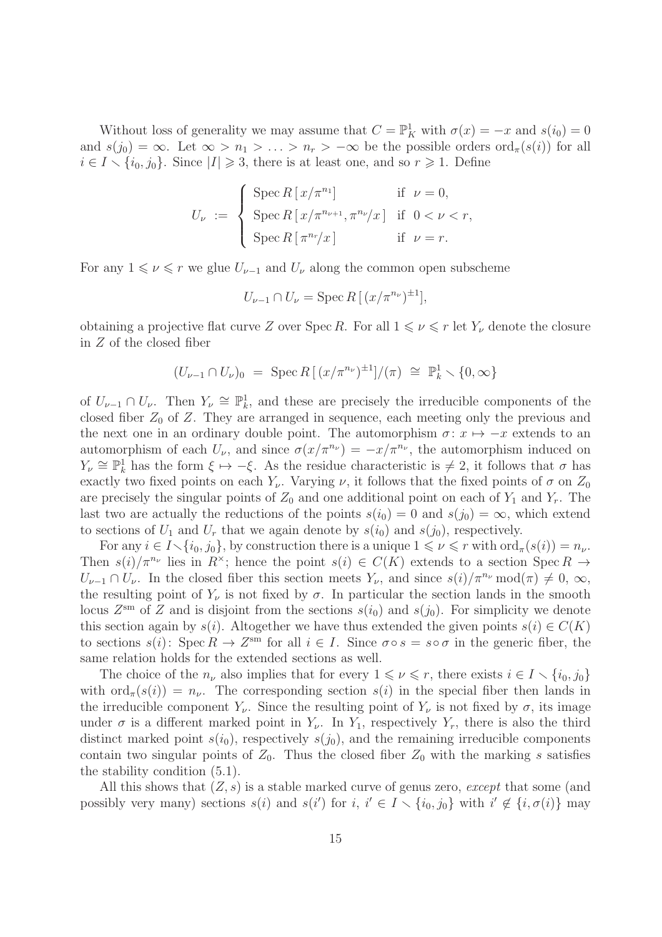Without loss of generality we may assume that  $C = \mathbb{P}^1_K$  with  $\sigma(x) = -x$  and  $s(i_0) = 0$ and  $s(j_0) = \infty$ . Let  $\infty > n_1 > \ldots > n_r > -\infty$  be the possible orders ord<sub> $\pi$ </sub> $(s(i))$  for all  $i \in I \setminus \{i_0, j_0\}.$  Since  $|I| \geq 3$ , there is at least one, and so  $r \geq 1$ . Define

$$
U_{\nu} := \begin{cases} \operatorname{Spec} R\left[\frac{x}{\pi^{n_1}}\right] & \text{if } \nu = 0, \\ \operatorname{Spec} R\left[\frac{x}{\pi^{n_{\nu+1}}}, \frac{\pi^{n_{\nu}}}{x}\right] & \text{if } 0 < \nu < r, \\ \operatorname{Spec} R\left[\frac{\pi^{n_r}}{x}\right] & \text{if } \nu = r. \end{cases}
$$

For any  $1 \leq v \leq r$  we glue  $U_{\nu-1}$  and  $U_{\nu}$  along the common open subscheme

$$
U_{\nu-1} \cap U_{\nu} = \operatorname{Spec} R\left[ (x/\pi^{n_{\nu}})^{\pm 1} \right],
$$

obtaining a projective flat curve Z over Spec R. For all  $1 \leq v \leq r$  let  $Y_{\nu}$  denote the closure in Z of the closed fiber

$$
(U_{\nu-1} \cap U_{\nu})_0 = \operatorname{Spec} R[(x/\pi^{n_{\nu}})^{\pm 1}]/(\pi) \cong \mathbb{P}_k^1 \setminus \{0, \infty\}
$$

of  $U_{\nu-1} \cap U_{\nu}$ . Then  $Y_{\nu} \cong \mathbb{P}^1_{k}$ , and these are precisely the irreducible components of the closed fiber  $Z_0$  of Z. They are arranged in sequence, each meeting only the previous and the next one in an ordinary double point. The automorphism  $\sigma: x \mapsto -x$  extends to an automorphism of each  $U_{\nu}$ , and since  $\sigma(x/\pi^{n_{\nu}}) = -x/\pi^{n_{\nu}}$ , the automorphism induced on  $Y_{\nu} \cong \mathbb{P}^1_k$  has the form  $\xi \mapsto -\xi$ . As the residue characteristic is  $\neq 2$ , it follows that  $\sigma$  has exactly two fixed points on each  $Y_{\nu}$ . Varying  $\nu$ , it follows that the fixed points of  $\sigma$  on  $Z_0$ are precisely the singular points of  $Z_0$  and one additional point on each of  $Y_1$  and  $Y_r$ . The last two are actually the reductions of the points  $s(i_0) = 0$  and  $s(j_0) = \infty$ , which extend to sections of  $U_1$  and  $U_r$  that we again denote by  $s(i_0)$  and  $s(j_0)$ , respectively.

For any  $i \in I \setminus \{i_0, j_0\}$ , by construction there is a unique  $1 \leq \nu \leq r$  with  $\text{ord}_{\pi}(s(i)) = n_{\nu}$ . Then  $s(i)/\pi^{n_{\nu}}$  lies in  $R^{\times}$ ; hence the point  $s(i) \in C(K)$  extends to a section Spec  $R \to$  $U_{\nu-1} \cap U_{\nu}$ . In the closed fiber this section meets  $Y_{\nu}$ , and since  $s(i)/\pi^{n_{\nu}} \mod (\pi) \neq 0, \infty$ , the resulting point of  $Y_{\nu}$  is not fixed by  $\sigma$ . In particular the section lands in the smooth locus  $Z^{\text{sm}}$  of Z and is disjoint from the sections  $s(i_0)$  and  $s(j_0)$ . For simplicity we denote this section again by  $s(i)$ . Altogether we have thus extended the given points  $s(i) \in C(K)$ to sections  $s(i)$ : Spec  $R \to Z^{sm}$  for all  $i \in I$ . Since  $\sigma \circ s = s \circ \sigma$  in the generic fiber, the same relation holds for the extended sections as well.

The choice of the  $n_{\nu}$  also implies that for every  $1 \leq \nu \leq r$ , there exists  $i \in I \setminus \{i_0, j_0\}$ with  $\text{ord}_{\pi}(s(i)) = n_{\nu}$ . The corresponding section  $s(i)$  in the special fiber then lands in the irreducible component  $Y_{\nu}$ . Since the resulting point of  $Y_{\nu}$  is not fixed by  $\sigma$ , its image under  $\sigma$  is a different marked point in  $Y_{\nu}$ . In  $Y_1$ , respectively  $Y_{r}$ , there is also the third distinct marked point  $s(i_0)$ , respectively  $s(j_0)$ , and the remaining irreducible components contain two singular points of  $Z_0$ . Thus the closed fiber  $Z_0$  with the marking s satisfies the stability condition (5.1).

All this shows that  $(Z, s)$  is a stable marked curve of genus zero, except that some (and possibly very many) sections  $s(i)$  and  $s(i')$  for  $i, i' \in I \setminus \{i_0, j_0\}$  with  $i' \notin \{i, \sigma(i)\}$  may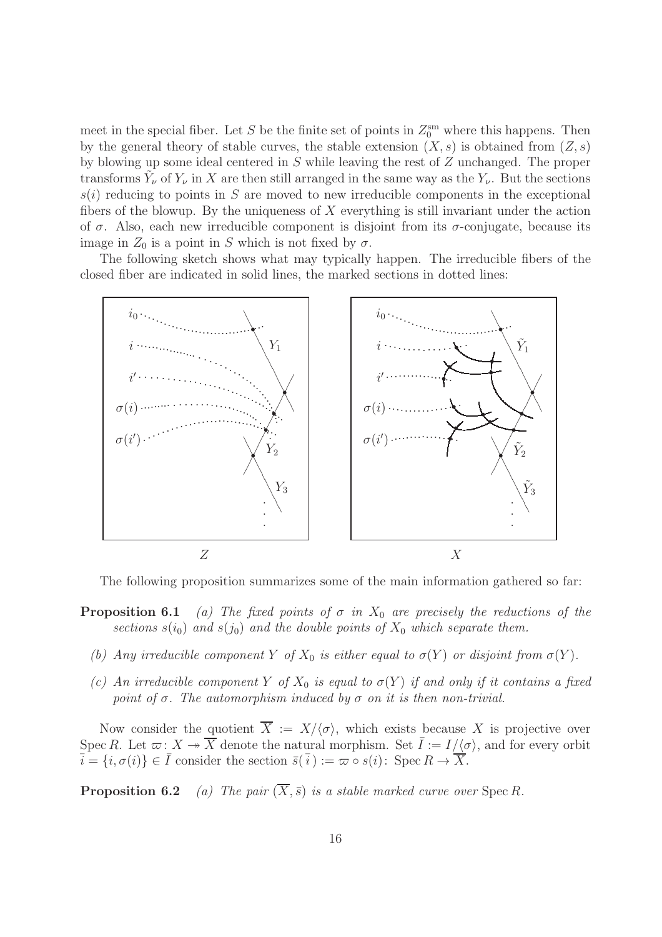meet in the special fiber. Let S be the finite set of points in  $Z_0^{\text{sm}}$  where this happens. Then by the general theory of stable curves, the stable extension  $(X, s)$  is obtained from  $(Z, s)$ by blowing up some ideal centered in S while leaving the rest of Z unchanged. The proper transforms  $\tilde{Y}_{\nu}$  of  $Y_{\nu}$  in X are then still arranged in the same way as the  $Y_{\nu}$ . But the sections  $s(i)$  reducing to points in S are moved to new irreducible components in the exceptional fibers of the blowup. By the uniqueness of  $X$  everything is still invariant under the action of  $\sigma$ . Also, each new irreducible component is disjoint from its  $\sigma$ -conjugate, because its image in  $Z_0$  is a point in S which is not fixed by  $\sigma$ .

The following sketch shows what may typically happen. The irreducible fibers of the closed fiber are indicated in solid lines, the marked sections in dotted lines:



The following proposition summarizes some of the main information gathered so far:

- **Proposition 6.1** (a) The fixed points of  $\sigma$  in  $X_0$  are precisely the reductions of the sections  $s(i_0)$  and  $s(j_0)$  and the double points of  $X_0$  which separate them.
	- (b) Any irreducible component Y of  $X_0$  is either equal to  $\sigma(Y)$  or disjoint from  $\sigma(Y)$ .
	- (c) An irreducible component Y of  $X_0$  is equal to  $\sigma(Y)$  if and only if it contains a fixed point of  $\sigma$ . The automorphism induced by  $\sigma$  on it is then non-trivial.

Now consider the quotient  $\overline{X} := X/\langle \sigma \rangle$ , which exists because X is projective over Spec R. Let  $\varpi$ :  $X \twoheadrightarrow \overline{X}$  denote the natural morphism. Set  $\overline{I} := I/\langle \sigma \rangle$ , and for every orbit  $\overline{i} = \{i, \sigma(i)\} \in \overline{I}$  consider the section  $\overline{s}(\overline{i}) := \overline{\omega} \circ s(i)$ : Spec  $R \to \overline{X}$ .

**Proposition 6.2** (a) The pair  $(\overline{X}, \overline{s})$  is a stable marked curve over Spec R.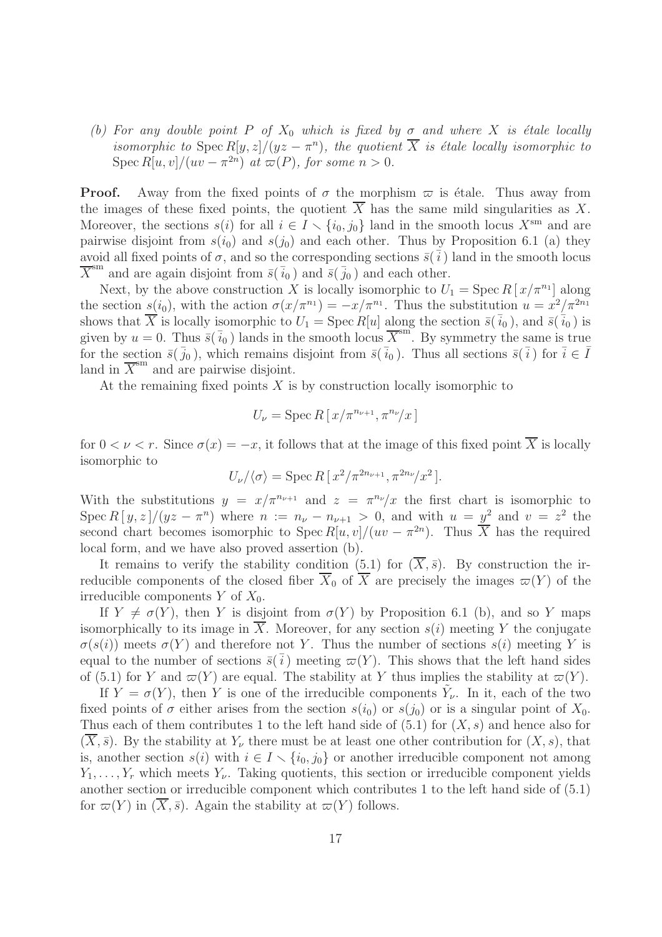(b) For any double point P of  $X_0$  which is fixed by  $\sigma$  and where X is étale locally isomorphic to  $\text{Spec } R[y, z]/(yz - \pi^n)$ , the quotient  $\overline{X}$  is étale locally isomorphic to Spec  $R[u, v]/(uv - \pi^{2n})$  at  $\varpi(P)$ , for some  $n > 0$ .

**Proof.** Away from the fixed points of  $\sigma$  the morphism  $\varpi$  is étale. Thus away from the images of these fixed points, the quotient  $X$  has the same mild singularities as  $X$ . Moreover, the sections  $s(i)$  for all  $i \in I \setminus \{i_0, j_0\}$  land in the smooth locus  $X^{sm}$  and are pairwise disjoint from  $s(i_0)$  and  $s(j_0)$  and each other. Thus by Proposition 6.1 (a) they avoid all fixed points of  $\sigma$ , and so the corresponding sections  $\bar{s}(\bar{i})$  land in the smooth locus  $\overline{X}^{\text{sm}}$  and are again disjoint from  $\overline{s}(\overline{i}_0)$  and  $\overline{s}(\overline{j}_0)$  and each other.

Next, by the above construction X is locally isomorphic to  $U_1 = \text{Spec } R[x/\pi^{n_1}]$  along the section  $s(i_0)$ , with the action  $\sigma(x/\pi^{n_1}) = -x/\pi^{n_1}$ . Thus the substitution  $u = x^2/\pi^{2n_1}$ shows that  $\overline{X}$  is locally isomorphic to  $U_1 = \text{Spec } R[u]$  along the section  $\overline{s}(\overline{i}_0)$ , and  $\overline{s}(\overline{i}_0)$  is given by  $u = 0$ . Thus  $\overline{s}(\overline{i}_0)$  lands in the smooth locus  $\overline{X}^{\text{sm}}$ . By symmetry the same is true for the section  $\bar{s}(\bar{i}_0)$ , which remains disjoint from  $\bar{s}(\bar{i}_0)$ . Thus all sections  $\bar{s}(\bar{i})$  for  $\bar{i} \in \bar{I}$ land in  $\overline{X}$ <sup>sm</sup> and are pairwise disjoint.

At the remaining fixed points  $X$  is by construction locally isomorphic to

$$
U_{\nu} = \operatorname{Spec} R\left[\left.x/\pi^{n_{\nu+1}}, \pi^{n_{\nu}}\right]x\right]
$$

for  $0 < \nu < r$ . Since  $\sigma(x) = -x$ , it follows that at the image of this fixed point  $\overline{X}$  is locally isomorphic to

$$
U_{\nu}/\langle \sigma \rangle = \operatorname{Spec} R\left[\frac{x^2}{\pi^{2n_{\nu+1}}}, \frac{\pi^{2n_{\nu}}}{x^2}\right].
$$

With the substitutions  $y = x/\pi^{n_{\nu+1}}$  and  $z = \pi^{n_{\nu}}/x$  the first chart is isomorphic to Spec  $R[y, z]/(yz - \pi^n)$  where  $n := n_{\nu} - n_{\nu+1} > 0$ , and with  $u = y^2$  and  $v = z^2$  the second chart becomes isomorphic to  $Spec R[u, v]/(uv - \pi^{2n})$ . Thus  $\overline{X}$  has the required local form, and we have also proved assertion (b).

It remains to verify the stability condition (5.1) for  $(\overline{X},\overline{s})$ . By construction the irreducible components of the closed fiber  $\overline{X}_0$  of  $\overline{X}$  are precisely the images  $\varpi(Y)$  of the irreducible components  $Y$  of  $X_0$ .

If  $Y \neq \sigma(Y)$ , then Y is disjoint from  $\sigma(Y)$  by Proposition 6.1 (b), and so Y maps isomorphically to its image in  $\overline{X}$ . Moreover, for any section  $s(i)$  meeting Y the conjugate  $\sigma(s(i))$  meets  $\sigma(Y)$  and therefore not Y. Thus the number of sections  $s(i)$  meeting Y is equal to the number of sections  $\bar{s}(\bar{i})$  meeting  $\bar{\varpi}(Y)$ . This shows that the left hand sides of (5.1) for Y and  $\varpi(Y)$  are equal. The stability at Y thus implies the stability at  $\varpi(Y)$ .

If  $Y = \sigma(Y)$ , then Y is one of the irreducible components  $\tilde{Y}_{\nu}$ . In it, each of the two fixed points of  $\sigma$  either arises from the section  $s(i_0)$  or  $s(j_0)$  or is a singular point of  $X_0$ . Thus each of them contributes 1 to the left hand side of  $(5.1)$  for  $(X, s)$  and hence also for  $(\overline{X}, \overline{s})$ . By the stability at  $Y_{\nu}$  there must be at least one other contribution for  $(X, s)$ , that is, another section  $s(i)$  with  $i \in I \setminus \{i_0, j_0\}$  or another irreducible component not among  $Y_1, \ldots, Y_r$  which meets  $Y_{\nu}$ . Taking quotients, this section or irreducible component yields another section or irreducible component which contributes 1 to the left hand side of (5.1) for  $\overline{\omega}(Y)$  in  $(\overline{X}, \overline{s})$ . Again the stability at  $\overline{\omega}(Y)$  follows.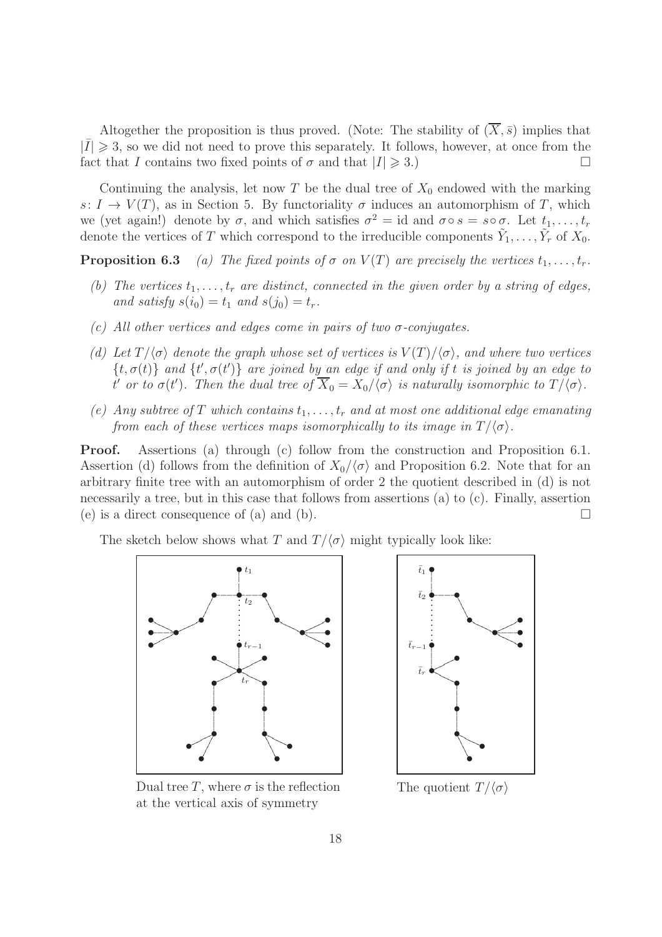Altogether the proposition is thus proved. (Note: The stability of  $(\overline{X}, \overline{s})$  implies that  $|\bar{I}| \geq 3$ , so we did not need to prove this separately. It follows, however, at once from the fact that I contains two fixed points of  $\sigma$  and that  $|I| \geq 3$ .)

Continuing the analysis, let now T be the dual tree of  $X_0$  endowed with the marking s:  $I \to V(T)$ , as in Section 5. By functoriality  $\sigma$  induces an automorphism of T, which we (yet again!) denote by  $\sigma$ , and which satisfies  $\sigma^2 = id$  and  $\sigma \circ s = s \circ \sigma$ . Let  $t_1, \ldots, t_r$ denote the vertices of T which correspond to the irreducible components  $\tilde{Y}_1, \ldots, \tilde{Y}_r$  of  $X_0$ .

**Proposition 6.3** (a) The fixed points of  $\sigma$  on  $V(T)$  are precisely the vertices  $t_1, \ldots, t_r$ .

- (b) The vertices  $t_1, \ldots, t_r$  are distinct, connected in the given order by a string of edges, and satisfy  $s(i_0) = t_1$  and  $s(j_0) = t_r$ .
- (c) All other vertices and edges come in pairs of two  $\sigma$ -conjugates.
- (d) Let  $T/\langle \sigma \rangle$  denote the graph whose set of vertices is  $V(T)/\langle \sigma \rangle$ , and where two vertices  $\{t, \sigma(t)\}$  and  $\{t', \sigma(t')\}$  are joined by an edge if and only if t is joined by an edge to t' or to  $\sigma(t')$ . Then the dual tree of  $X_0 = X_0/\langle \sigma \rangle$  is naturally isomorphic to  $T/\langle \sigma \rangle$ .
- (e) Any subtree of T which contains  $t_1, \ldots, t_r$  and at most one additional edge emanating from each of these vertices maps isomorphically to its image in  $T/\langle \sigma \rangle$ .

Proof. Assertions (a) through (c) follow from the construction and Proposition 6.1. Assertion (d) follows from the definition of  $X_0/\langle \sigma \rangle$  and Proposition 6.2. Note that for an arbitrary finite tree with an automorphism of order 2 the quotient described in (d) is not necessarily a tree, but in this case that follows from assertions (a) to (c). Finally, assertion (e) is a direct consequence of (a) and (b).  $\Box$ 

The sketch below shows what T and  $T/\langle \sigma \rangle$  might typically look like:





Dual tree T, where  $\sigma$  is the reflection at the vertical axis of symmetry

The quotient  $T/\langle \sigma \rangle$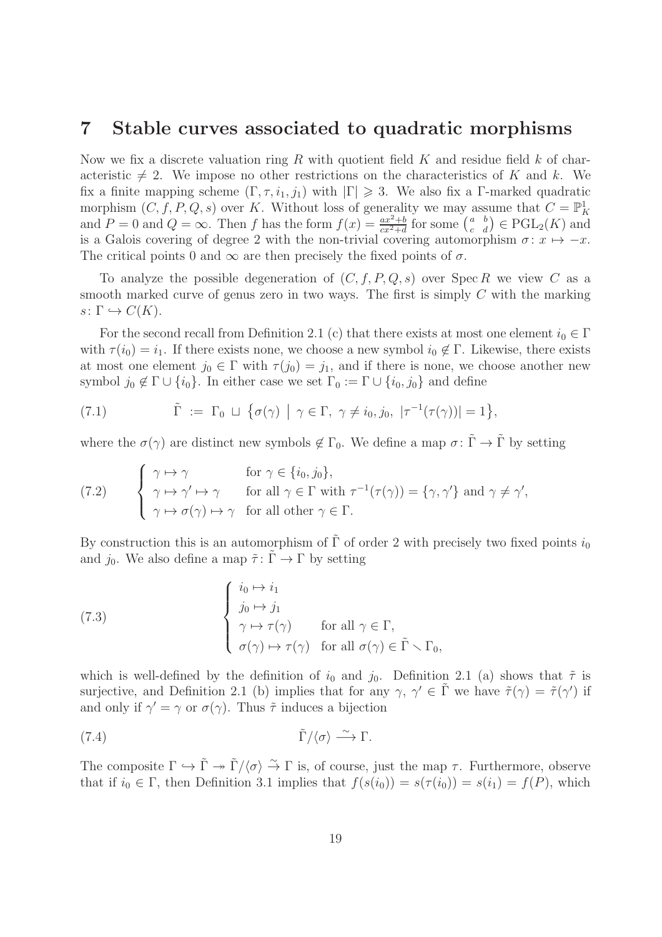#### 7 Stable curves associated to quadratic morphisms

Now we fix a discrete valuation ring R with quotient field  $K$  and residue field  $k$  of characteristic  $\neq 2$ . We impose no other restrictions on the characteristics of K and k. We fix a finite mapping scheme  $(\Gamma, \tau, i_1, j_1)$  with  $|\Gamma| \geq 3$ . We also fix a Γ-marked quadratic morphism  $(C, f, P, Q, s)$  over K. Without loss of generality we may assume that  $C = \mathbb{P}^1_K$ and  $P = 0$  and  $Q = \infty$ . Then f has the form  $f(x) = \frac{ax^2 + b}{cx^2 + d}$  for some  $\begin{pmatrix} a & b \\ c & d \end{pmatrix} \in \text{PGL}_2(K)$  and is a Galois covering of degree 2 with the non-trivial covering automorphism  $\sigma: x \mapsto -x$ . The critical points 0 and  $\infty$  are then precisely the fixed points of  $\sigma$ .

To analyze the possible degeneration of  $(C, f, P, Q, s)$  over  $\text{Spec } R$  we view C as a smooth marked curve of genus zero in two ways. The first is simply C with the marking  $s\colon \Gamma \hookrightarrow C(K).$ 

For the second recall from Definition 2.1 (c) that there exists at most one element  $i_0 \in \Gamma$ with  $\tau(i_0) = i_1$ . If there exists none, we choose a new symbol  $i_0 \notin \Gamma$ . Likewise, there exists at most one element  $j_0 \in \Gamma$  with  $\tau(j_0) = j_1$ , and if there is none, we choose another new symbol  $j_0 \notin \Gamma \cup \{i_0\}$ . In either case we set  $\Gamma_0 := \Gamma \cup \{i_0, j_0\}$  and define

(7.1) 
$$
\tilde{\Gamma} := \Gamma_0 \sqcup \{ \sigma(\gamma) \mid \gamma \in \Gamma, \ \gamma \neq i_0, j_0, \ |\tau^{-1}(\tau(\gamma))| = 1 \},
$$

where the  $\sigma(\gamma)$  are distinct new symbols  $\notin \Gamma_0$ . We define a map  $\sigma: \tilde{\Gamma} \to \tilde{\Gamma}$  by setting

(7.2) 
$$
\begin{cases} \gamma \mapsto \gamma & \text{for } \gamma \in \{i_0, j_0\}, \\ \gamma \mapsto \gamma' \mapsto \gamma & \text{for all } \gamma \in \Gamma \text{ with } \tau^{-1}(\tau(\gamma)) = \{\gamma, \gamma'\} \text{ and } \gamma \neq \gamma', \\ \gamma \mapsto \sigma(\gamma) \mapsto \gamma & \text{for all other } \gamma \in \Gamma. \end{cases}
$$

By construction this is an automorphism of  $\tilde{\Gamma}$  of order 2 with precisely two fixed points  $i_0$ and  $j_0$ . We also define a map  $\tilde{\tau} : \Gamma \to \Gamma$  by setting

(7.3) 
$$
\begin{cases} i_0 \mapsto i_1 \\ j_0 \mapsto j_1 \\ \gamma \mapsto \tau(\gamma) \quad \text{for all } \gamma \in \Gamma, \\ \sigma(\gamma) \mapsto \tau(\gamma) \quad \text{for all } \sigma(\gamma) \in \tilde{\Gamma} \setminus \Gamma_0, \end{cases}
$$

which is well-defined by the definition of  $i_0$  and  $j_0$ . Definition 2.1 (a) shows that  $\tilde{\tau}$  is surjective, and Definition 2.1 (b) implies that for any  $\gamma$ ,  $\gamma' \in \tilde{\Gamma}$  we have  $\tilde{\tau}(\gamma) = \tilde{\tau}(\gamma')$  if and only if  $\gamma' = \gamma$  or  $\sigma(\gamma)$ . Thus  $\tilde{\tau}$  induces a bijection

(7.4) 
$$
\tilde{\Gamma}/\langle \sigma \rangle \stackrel{\sim}{\longrightarrow} \Gamma.
$$

The composite  $\Gamma \hookrightarrow \tilde{\Gamma} \twoheadrightarrow \tilde{\Gamma}/\langle \sigma \rangle \stackrel{\sim}{\rightarrow} \Gamma$  is, of course, just the map  $\tau$ . Furthermore, observe that if  $i_0 \in \Gamma$ , then Definition 3.1 implies that  $f(s(i_0)) = s(\tau(i_0)) = s(i_1) = f(P)$ , which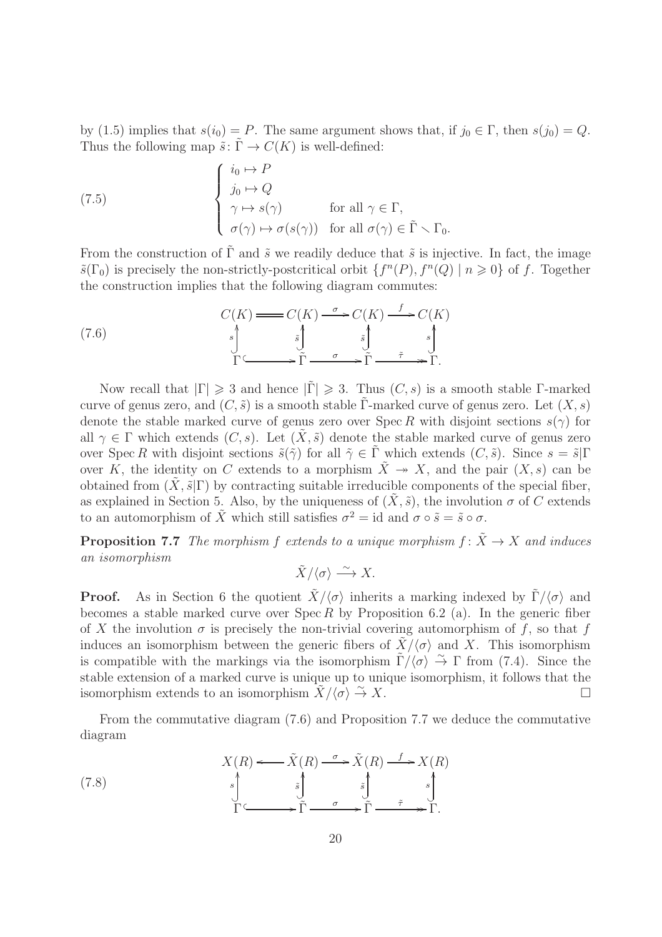by (1.5) implies that  $s(i_0) = P$ . The same argument shows that, if  $j_0 \in \Gamma$ , then  $s(j_0) = Q$ . Thus the following map  $\tilde{s}$ :  $\tilde{\Gamma} \to C(K)$  is well-defined:

(7.5) 
$$
\begin{cases} i_0 \mapsto P \\ j_0 \mapsto Q \\ \gamma \mapsto s(\gamma) \end{cases}
$$
 for all  $\gamma \in \Gamma$ ,  $\sigma(\gamma) \mapsto \sigma(s(\gamma))$  for all  $\sigma(\gamma) \in \tilde{\Gamma} \setminus \Gamma_0$ .

From the construction of  $\tilde{\Gamma}$  and  $\tilde{s}$  we readily deduce that  $\tilde{s}$  is injective. In fact, the image  $\tilde{s}(\Gamma_0)$  is precisely the non-strictly-postcritical orbit  $\{f^n(P), f^n(Q) \mid n \geq 0\}$  of f. Together the construction implies that the following diagram commutes:

(7.6) C(K) C(K) <sup>σ</sup> /C(K) f /C(K) Γ / ? s OO Γ˜ <sup>σ</sup> / ? s˜ OO Γ˜ <sup>τ</sup>˜ // ? s˜ OO Γ. ? s OO

Now recall that  $|\Gamma| \geq 3$  and hence  $|\tilde{\Gamma}| \geq 3$ . Thus  $(C, s)$  is a smooth stable Γ-marked curve of genus zero, and  $(C, \tilde{s})$  is a smooth stable Γ-marked curve of genus zero. Let  $(X, s)$ denote the stable marked curve of genus zero over Spec R with disjoint sections  $s(\gamma)$  for all  $\gamma \in \Gamma$  which extends  $(C, s)$ . Let  $(\tilde{X}, \tilde{s})$  denote the stable marked curve of genus zero over Spec R with disjoint sections  $\tilde{s}(\tilde{\gamma})$  for all  $\tilde{\gamma} \in \tilde{\Gamma}$  which extends  $(C, \tilde{s})$ . Since  $s = \tilde{s}|\Gamma$ over K, the identity on C extends to a morphism  $\tilde{X} \to X$ , and the pair  $(X, s)$  can be obtained from  $(X, \tilde{s}|\Gamma)$  by contracting suitable irreducible components of the special fiber, as explained in Section 5. Also, by the uniqueness of  $(X, \tilde{s})$ , the involution  $\sigma$  of C extends to an automorphism of  $\tilde{X}$  which still satisfies  $\sigma^2 = id$  and  $\sigma \circ \tilde{s} = \tilde{s} \circ \sigma$ .

**Proposition 7.7** The morphism f extends to a unique morphism  $f: \tilde{X} \to X$  and induces an isomorphism

$$
\tilde{X}/\langle \sigma \rangle \stackrel{\sim}{\longrightarrow} X.
$$

**Proof.** As in Section 6 the quotient  $\tilde{X}/\langle \sigma \rangle$  inherits a marking indexed by  $\tilde{\Gamma}/\langle \sigma \rangle$  and becomes a stable marked curve over  $Spec R$  by Proposition 6.2 (a). In the generic fiber of X the involution  $\sigma$  is precisely the non-trivial covering automorphism of f, so that f induces an isomorphism between the generic fibers of  $\tilde{X}/\langle \sigma \rangle$  and X. This isomorphism is compatible with the markings via the isomorphism  $\tilde{\Gamma}/\langle \sigma \rangle \stackrel{\sim}{\rightarrow} \Gamma$  from (7.4). Since the stable extension of a marked curve is unique up to unique isomorphism, it follows that the isomorphism extends to an isomorphism  $\ddot{X}/\langle \sigma \rangle \overset{\sim}{\to} X$ .  $\stackrel{\sim}{\rightarrow} X.$ 

From the commutative diagram (7.6) and Proposition 7.7 we deduce the commutative diagram

(7.8)  
\n
$$
X(R) \longleftrightarrow \tilde{X}(R) \xrightarrow{\sigma} \tilde{X}(R) \xrightarrow{f} X(R)
$$
\n
$$
\stackrel{s}{\longrightarrow} \tilde{S} \qquad \stackrel{\tilde{s}}{\longrightarrow} \tilde{S} \qquad \stackrel{s}{\longrightarrow} \tilde{S} \qquad \stackrel{s}{\longrightarrow} \tilde{S}.
$$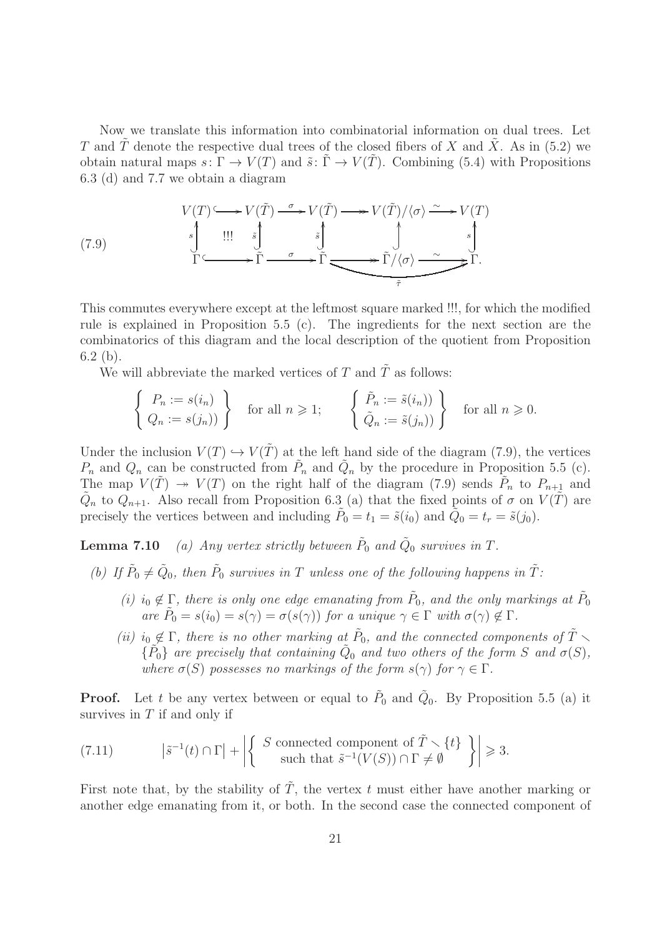Now we translate this information into combinatorial information on dual trees. Let T and  $\tilde{T}$  denote the respective dual trees of the closed fibers of X and X. As in (5.2) we obtain natural maps  $s: \Gamma \to V(T)$  and  $\tilde{s}: \Gamma \to V(T)$ . Combining (5.4) with Propositions 6.3 (d) and 7.7 we obtain a diagram

(7.9)  
\n
$$
\begin{array}{ccc}\nV(T) \longrightarrow V(\tilde{T}) & \xrightarrow{\sigma} V(\tilde{T}) \longrightarrow V(\tilde{T})/\langle \sigma \rangle \xrightarrow{\sim} V(T) \\
\downarrow^{s} & \downarrow^{s} & \downarrow^{s} & \downarrow^{s} \\
\Gamma \longrightarrow \tilde{\Gamma} & \xrightarrow{\sigma} \tilde{\Gamma} \longrightarrow \tilde{\Gamma} \longrightarrow \tilde{\Gamma}/\langle \sigma \rangle \xrightarrow{\sim} \tilde{\Gamma}. \\
\downarrow^{s} & & \downarrow^{s} \\
\hline\n\end{array}
$$

This commutes everywhere except at the leftmost square marked !!!, for which the modified rule is explained in Proposition 5.5 (c). The ingredients for the next section are the combinatorics of this diagram and the local description of the quotient from Proposition 6.2 (b).

We will abbreviate the marked vertices of T and  $\tilde{T}$  as follows:

$$
\left\{\n\begin{array}{l}\nP_n := s(i_n) \\
Q_n := s(j_n)\n\end{array}\n\right\}\n\text{ for all } n \geq 1; \qquad\n\left\{\n\begin{array}{l}\n\tilde{P}_n := \tilde{s}(i_n) \\
\tilde{Q}_n := \tilde{s}(j_n)\n\end{array}\n\right\}\n\text{ for all } n \geq 0.
$$

Under the inclusion  $V(T) \hookrightarrow V(T)$  at the left hand side of the diagram (7.9), the vertices  $P_n$  and  $Q_n$  can be constructed from  $\tilde{P}_n$  and  $\tilde{Q}_n$  by the procedure in Proposition 5.5 (c). The map  $V(\tilde{T}) \rightarrow V(T)$  on the right half of the diagram (7.9) sends  $\tilde{P}_n$  to  $P_{n+1}$  and  $\tilde{Q}_n$  to  $Q_{n+1}$ . Also recall from Proposition 6.3 (a) that the fixed points of  $\sigma$  on  $V(\tilde{T})$  are precisely the vertices between and including  $\tilde{P}_0 = t_1 = \tilde{s}(i_0)$  and  $\tilde{Q}_0 = t_r = \tilde{s}(j_0)$ .

**Lemma 7.10** (a) Any vertex strictly between  $\tilde{P}_0$  and  $\tilde{Q}_0$  survives in T.

- (b) If  $\tilde{P}_0 \neq \tilde{Q}_0$ , then  $\tilde{P}_0$  survives in T unless one of the following happens in  $\tilde{T}$ :
	- (i) i<sub>0</sub>  $\notin \Gamma$ , there is only one edge emanating from  $\tilde{P}_0$ , and the only markings at  $\tilde{P}_0$ are  $\tilde{P}_0 = s(i_0) = s(\gamma) = \sigma(s(\gamma))$  for a unique  $\gamma \in \Gamma$  with  $\sigma(\gamma) \notin \Gamma$ .
	- (ii)  $i_0 \notin \Gamma$ , there is no other marking at  $\tilde{P}_0$ , and the connected components of  $\tilde{T} \setminus$  $\{\tilde{P}_0\}$  are precisely that containing  $\tilde{Q}_0$  and two others of the form S and  $\sigma(S)$ , where  $\sigma(S)$  possesses no markings of the form  $s(\gamma)$  for  $\gamma \in \Gamma$ .

**Proof.** Let t be any vertex between or equal to  $P_0$  and  $Q_0$ . By Proposition 5.5 (a) it survives in  $T$  if and only if

(7.11) 
$$
\left| \tilde{s}^{-1}(t) \cap \Gamma \right| + \left| \left\{ \begin{array}{c} S \text{ connected component of } \tilde{T} \setminus \{t\} \\ \text{such that } \tilde{s}^{-1}(V(S)) \cap \Gamma \neq \emptyset \end{array} \right\} \right| \geq 3.
$$

First note that, by the stability of  $\tilde{T}$ , the vertex t must either have another marking or another edge emanating from it, or both. In the second case the connected component of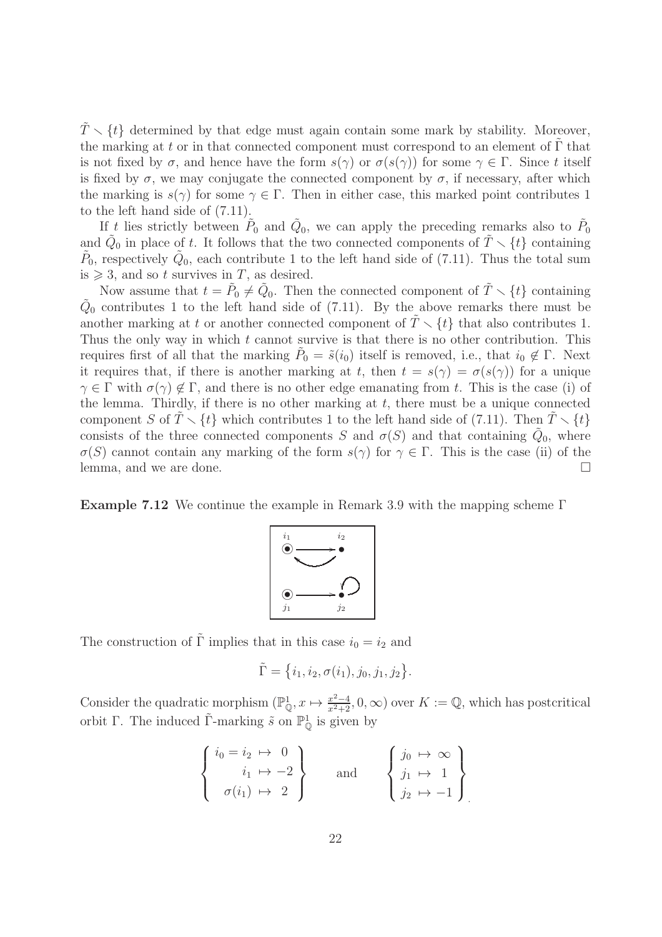$\tilde{T} \setminus \{t\}$  determined by that edge must again contain some mark by stability. Moreover, the marking at t or in that connected component must correspond to an element of  $\Gamma$  that is not fixed by  $\sigma$ , and hence have the form  $s(\gamma)$  or  $\sigma(s(\gamma))$  for some  $\gamma \in \Gamma$ . Since t itself is fixed by  $\sigma$ , we may conjugate the connected component by  $\sigma$ , if necessary, after which the marking is  $s(\gamma)$  for some  $\gamma \in \Gamma$ . Then in either case, this marked point contributes 1 to the left hand side of (7.11).

If t lies strictly between  $\tilde{P}_0$  and  $\tilde{Q}_0$ , we can apply the preceding remarks also to  $\tilde{P}_0$ and  $\tilde{Q}_0$  in place of t. It follows that the two connected components of  $\tilde{T} \setminus \{t\}$  containing  $\tilde{P}_0$ , respectively  $\tilde{Q}_0$ , each contribute 1 to the left hand side of (7.11). Thus the total sum is  $\geq 3$ , and so t survives in T, as desired.

Now assume that  $t = \tilde{P}_0 \neq \tilde{Q}_0$ . Then the connected component of  $\tilde{T} \setminus \{t\}$  containing  $\tilde{Q}_0$  contributes 1 to the left hand side of (7.11). By the above remarks there must be another marking at t or another connected component of  $\tilde{T} \setminus \{t\}$  that also contributes 1. Thus the only way in which  $t$  cannot survive is that there is no other contribution. This requires first of all that the marking  $\tilde{P}_0 = \tilde{s}(i_0)$  itself is removed, i.e., that  $i_0 \notin \Gamma$ . Next it requires that, if there is another marking at t, then  $t = s(\gamma) = \sigma(s(\gamma))$  for a unique  $\gamma \in \Gamma$  with  $\sigma(\gamma) \notin \Gamma$ , and there is no other edge emanating from t. This is the case (i) of the lemma. Thirdly, if there is no other marking at  $t$ , there must be a unique connected component S of  $\tilde{T} \setminus \{t\}$  which contributes 1 to the left hand side of (7.11). Then  $\tilde{T} \setminus \{t\}$ consists of the three connected components S and  $\sigma(S)$  and that containing  $\tilde{Q}_0$ , where σ(S) cannot contain any marking of the form  $s(γ)$  for  $γ ∈ Γ$ . This is the case (ii) of the lemma, and we are done. lemma, and we are done.

**Example 7.12** We continue the example in Remark 3.9 with the mapping scheme  $\Gamma$ 



The construction of  $\tilde{\Gamma}$  implies that in this case  $i_0 = i_2$  and

$$
\tilde{\Gamma} = \{i_1, i_2, \sigma(i_1), j_0, j_1, j_2\}.
$$

Consider the quadratic morphism  $(\mathbb{P}_{\mathbb{Q}}^1, x \mapsto \frac{x^2-4}{x^2+2}, 0, \infty)$  over  $K := \mathbb{Q}$ , which has postcritical orbit Γ. The induced  $\tilde{\Gamma}$ -marking  $\tilde{s}$  on  $\mathbb{P}^1_{\mathbb{Q}}$  is given by

$$
\begin{Bmatrix}\ni_0 = i_2 \mapsto & 0 \\
i_1 \mapsto & -2 \\
\sigma(i_1) \mapsto & 2\n\end{Bmatrix}
$$
 and 
$$
\begin{Bmatrix}\nj_0 \mapsto & \infty \\
j_1 \mapsto & 1 \\
j_2 \mapsto & -1\n\end{Bmatrix}
$$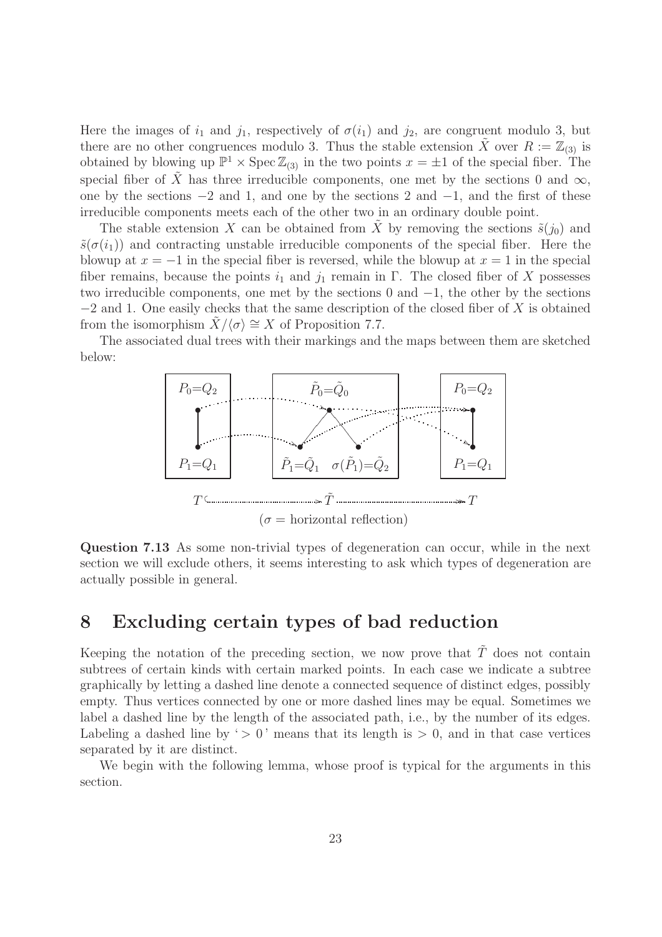Here the images of  $i_1$  and  $j_1$ , respectively of  $\sigma(i_1)$  and  $j_2$ , are congruent modulo 3, but there are no other congruences modulo 3. Thus the stable extension X over  $R := \mathbb{Z}_{(3)}$  is obtained by blowing up  $\mathbb{P}^1 \times \text{Spec } \mathbb{Z}_{(3)}$  in the two points  $x = \pm 1$  of the special fiber. The special fiber of  $\tilde{X}$  has three irreducible components, one met by the sections 0 and  $\infty$ , one by the sections −2 and 1, and one by the sections 2 and −1, and the first of these irreducible components meets each of the other two in an ordinary double point.

The stable extension X can be obtained from X by removing the sections  $\tilde{s}(i_0)$  and  $\tilde{s}(\sigma(i_1))$  and contracting unstable irreducible components of the special fiber. Here the blowup at  $x = -1$  in the special fiber is reversed, while the blowup at  $x = 1$  in the special fiber remains, because the points  $i_1$  and  $j_1$  remain in Γ. The closed fiber of X possesses two irreducible components, one met by the sections 0 and  $-1$ , the other by the sections  $-2$  and 1. One easily checks that the same description of the closed fiber of X is obtained from the isomorphism  $X/\langle \sigma \rangle \cong X$  of Proposition 7.7.

The associated dual trees with their markings and the maps between them are sketched below:



Question 7.13 As some non-trivial types of degeneration can occur, while in the next section we will exclude others, it seems interesting to ask which types of degeneration are actually possible in general.

#### 8 Excluding certain types of bad reduction

Keeping the notation of the preceding section, we now prove that  $\tilde{T}$  does not contain subtrees of certain kinds with certain marked points. In each case we indicate a subtree graphically by letting a dashed line denote a connected sequence of distinct edges, possibly empty. Thus vertices connected by one or more dashed lines may be equal. Sometimes we label a dashed line by the length of the associated path, i.e., by the number of its edges. Labeling a dashed line by '  $> 0$ ' means that its length is  $> 0$ , and in that case vertices separated by it are distinct.

We begin with the following lemma, whose proof is typical for the arguments in this section.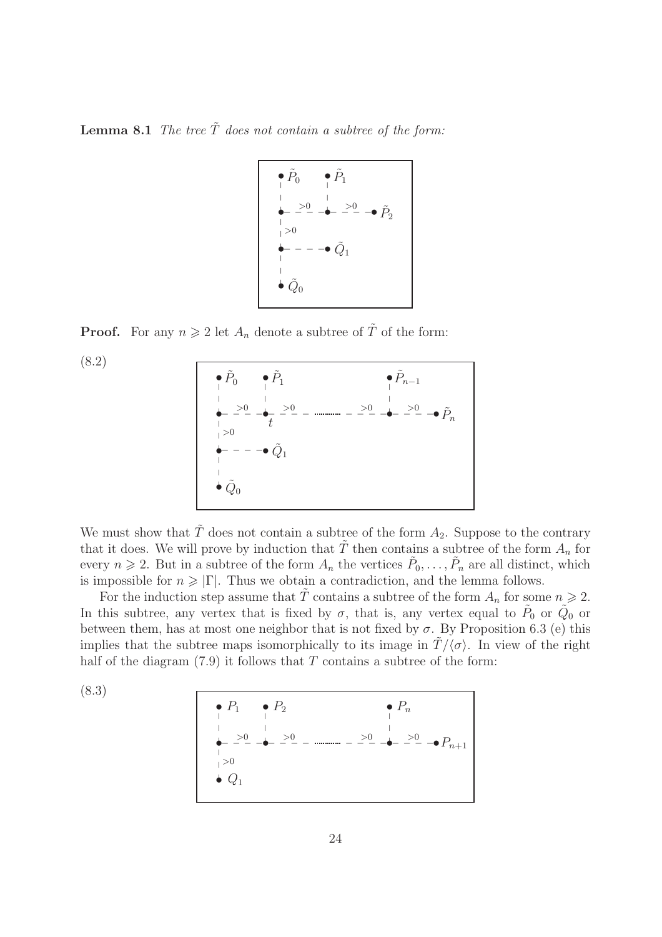**Lemma 8.1** The tree  $\tilde{T}$  does not contain a subtree of the form:

$$
\begin{array}{ccc}\n\bullet & \tilde{P}_0 & \bullet & \tilde{P}_1 \\
\downarrow & \downarrow & \downarrow \\
\leftarrow & \stackrel{\cdot}{\leftarrow} & \stackrel{\cdot}{\leftarrow} & \stackrel{\cdot}{\leftarrow} & \stackrel{\cdot}{\leftarrow} \\
\downarrow & & \downarrow & \nearrow 0 \\
\downarrow & & \downarrow & \nearrow 0 \\
\leftarrow & - & - & \stackrel{\sim}{Q}_1 \\
\downarrow & & \downarrow & \nearrow 0 \\
\bullet & \stackrel{\cdot}{\leftarrow} & & \stackrel{\cdot}{\leftarrow} & \nearrow 0\n\end{array}
$$

**Proof.** For any  $n \geq 2$  let  $A_n$  denote a subtree of  $\tilde{T}$  of the form:

(8.2)



We must show that  $\tilde{T}$  does not contain a subtree of the form  $A_2$ . Suppose to the contrary that it does. We will prove by induction that  $\tilde{T}$  then contains a subtree of the form  $A_n$  for every  $n \geq 2$ . But in a subtree of the form  $A_n$  the vertices  $\tilde{P}_0, \ldots, \tilde{P}_n$  are all distinct, which is impossible for  $n \geq |\Gamma|$ . Thus we obtain a contradiction, and the lemma follows.

For the induction step assume that  $\tilde{T}$  contains a subtree of the form  $A_n$  for some  $n \geq 2$ . In this subtree, any vertex that is fixed by  $\sigma$ , that is, any vertex equal to  $\tilde{P}_0$  or  $\tilde{Q}_0$  or between them, has at most one neighbor that is not fixed by  $\sigma$ . By Proposition 6.3 (e) this implies that the subtree maps isomorphically to its image in  $T/\langle \sigma \rangle$ . In view of the right half of the diagram  $(7.9)$  it follows that T contains a subtree of the form:

(8.3)

\n- $$
P_1
$$
\n- $P_2$
\n- $P_n$
\n- $P_n$
\n- $P_n$
\n- $P_n$
\n- $P_n$
\n- $P_n$
\n- $P_n$
\n- $P_n$
\n- $P_n$
\n- $P_n$
\n- $P_n$
\n- $P_n$
\n- $P_n$
\n- $P_n$
\n- $P_n$
\n- $P_n$
\n- $P_n$
\n- $P_n$
\n- $P_n$
\n- $P_n$
\n- $P_n$
\n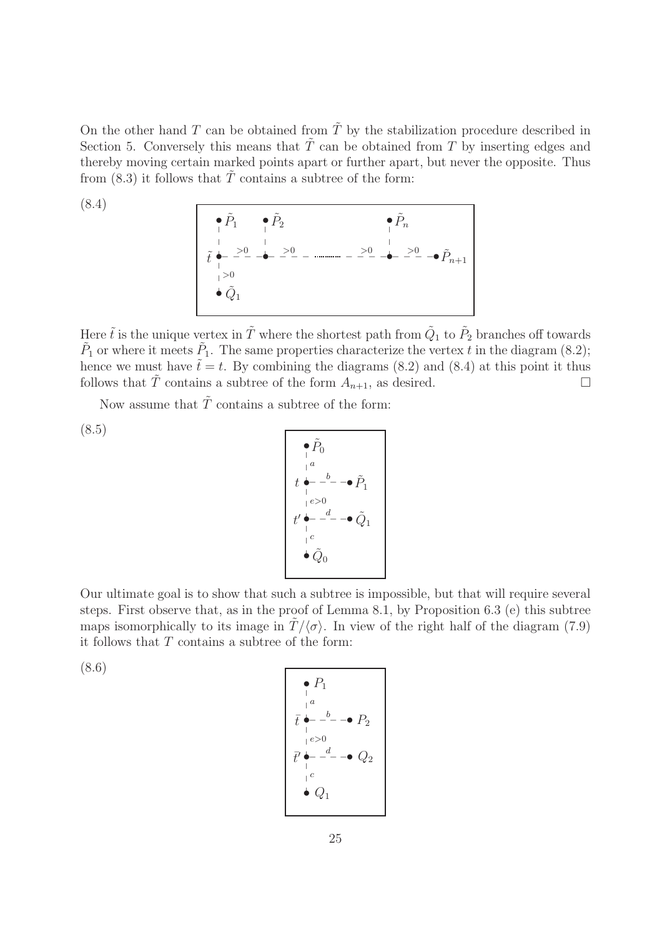On the other hand T can be obtained from  $\tilde{T}$  by the stabilization procedure described in Section 5. Conversely this means that  $\tilde{T}$  can be obtained from T by inserting edges and thereby moving certain marked points apart or further apart, but never the opposite. Thus from  $(8.3)$  it follows that  $\overline{T}$  contains a subtree of the form:

$$
\begin{array}{c}\n\bullet \tilde{P}_1 \qquad \bullet \tilde{P}_2 \\
\downarrow \\
\hline\n\ddot{t} \qquad \downarrow \\
\downarrow > 0\n\end{array}
$$
\n
$$
\begin{array}{c}\n\bullet \tilde{P}_n \\
\downarrow \\
\downarrow > 0\n\end{array}
$$
\n
$$
\begin{array}{c}\n\bullet \tilde{P}_n \\
\downarrow > 0\n\end{array}
$$
\n
$$
\begin{array}{c}\n\bullet \tilde{P}_n \\
\downarrow > 0\n\end{array}
$$

Here  $\tilde{t}$  is the unique vertex in  $\tilde{T}$  where the shortest path from  $\tilde{Q}_1$  to  $\tilde{P}_2$  branches off towards  $\tilde{P}_1$  or where it meets  $\tilde{P}_1$ . The same properties characterize the vertex t in the diagram (8.2); hence we must have  $\tilde{t} = t$ . By combining the diagrams (8.2) and (8.4) at this point it thus follows that  $\tilde{T}$  contains a subtree of the form  $A_{n+1}$ , as desired.

Now assume that  $\tilde{T}$  contains a subtree of the form:

(8.5)

(8.4)

$$
\begin{array}{c}\n\bullet \tilde{P}_0 \\
\downarrow a \\
t \bullet - b - \bullet \tilde{P}_1 \\
\downarrow e > 0 \\
t' \bullet - d - \bullet \tilde{Q}_1 \\
\downarrow c \\
\bullet \tilde{Q}_0\n\end{array}
$$

Our ultimate goal is to show that such a subtree is impossible, but that will require several steps. First observe that, as in the proof of Lemma 8.1, by Proposition 6.3 (e) this subtree maps isomorphically to its image in  $T/\langle \sigma \rangle$ . In view of the right half of the diagram (7.9) it follows that  $T$  contains a subtree of the form:

(8.6)

$$
\begin{array}{c}\n\bullet P_1 \\
\downarrow a \\
\hline\n\ddot{t} \stackrel{a}{\leftarrow} -\dot{b} - \bullet P_2 \\
\downarrow e > 0 \\
\hline\n\ddot{t} \stackrel{a}{\leftarrow} -\dot{d} - \bullet Q_2 \\
\downarrow c \\
\downarrow c \\
\hline\n\bullet Q_1\n\end{array}
$$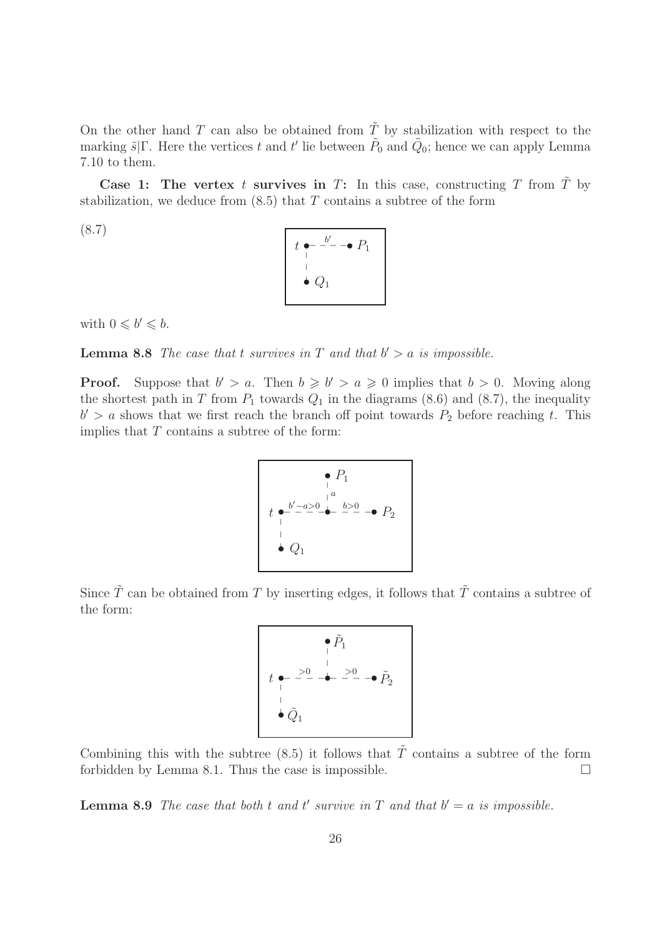On the other hand T can also be obtained from  $\tilde{T}$  by stabilization with respect to the marking  $\tilde{s}|\Gamma$ . Here the vertices t and t' lie between  $\tilde{P}_0$  and  $\tilde{Q}_0$ ; hence we can apply Lemma 7.10 to them.

Case 1: The vertex t survives in T: In this case, constructing T from  $\tilde{T}$  by stabilization, we deduce from  $(8.5)$  that T contains a subtree of the form

(8.7)

$$
\begin{array}{|c|}\n t \bullet^{-} \xrightarrow{b'} - \bullet P_1 \\
 \hline\n \downarrow \\
 \bullet Q_1\n \end{array}
$$

with  $0 \leq b' \leq b$ .

**Lemma 8.8** The case that t survives in T and that  $b' > a$  is impossible.

**Proof.** Suppose that  $b' > a$ . Then  $b \geq b' > a \geq 0$  implies that  $b > 0$ . Moving along the shortest path in T from  $P_1$  towards  $Q_1$  in the diagrams (8.6) and (8.7), the inequality  $b' > a$  shows that we first reach the branch off point towards  $P_2$  before reaching t. This implies that  $T$  contains a subtree of the form:

$$
e P_1
$$
\n
$$
t e^{-\frac{b'-a>0}{-}} e^{-\frac{a}{-}} e^{-\frac{b>0}{-}} P_2
$$
\n
$$
Q_1
$$

Since  $\tilde{T}$  can be obtained from T by inserting edges, it follows that  $\tilde{T}$  contains a subtree of the form:

$$
\begin{array}{c}\n\bullet \tilde{P}_1 \\
\downarrow \\
\downarrow \\
\downarrow \\
\bullet \tilde{Q}_1\n\end{array}
$$

Combining this with the subtree (8.5) it follows that  $\tilde{T}$  contains a subtree of the form forbidden by Lemma 8.1. Thus the case is impossible.  $\Box$ 

**Lemma 8.9** The case that both t and t' survive in T and that  $b' = a$  is impossible.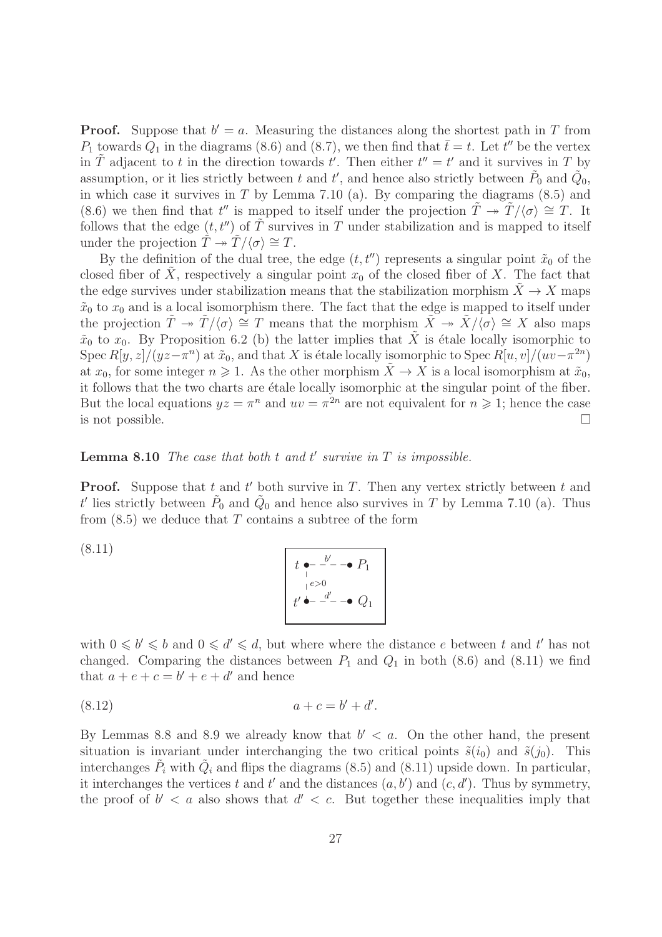**Proof.** Suppose that  $b' = a$ . Measuring the distances along the shortest path in T from  $P_1$  towards  $Q_1$  in the diagrams (8.6) and (8.7), we then find that  $\bar{t}= t$ . Let t'' be the vertex in  $\tilde{T}$  adjacent to t in the direction towards t'. Then either  $t'' = t'$  and it survives in T by assumption, or it lies strictly between t and t', and hence also strictly between  $\tilde{P}_0$  and  $\tilde{Q}_0$ , in which case it survives in  $T$  by Lemma 7.10 (a). By comparing the diagrams  $(8.5)$  and (8.6) we then find that  $t''$  is mapped to itself under the projection  $\tilde{T} \to \tilde{T}/\langle \sigma \rangle \cong T$ . It follows that the edge  $(t, t'')$  of  $\tilde{T}$  survives in T under stabilization and is mapped to itself under the projection  $\tilde{T} \rightarrow \tilde{T}/\langle \sigma \rangle \cong T$ .

By the definition of the dual tree, the edge  $(t, t'')$  represents a singular point  $\tilde{x}_0$  of the closed fiber of X, respectively a singular point  $x_0$  of the closed fiber of X. The fact that the edge survives under stabilization means that the stabilization morphism  $\ddot{X} \rightarrow X$  maps  $\tilde{x}_0$  to  $x_0$  and is a local isomorphism there. The fact that the edge is mapped to itself under the projection  $\tilde{T} \rightarrow \tilde{T}/\langle \sigma \rangle \cong T$  means that the morphism  $\tilde{X} \rightarrow \tilde{X}/\langle \sigma \rangle \cong X$  also maps  $\tilde{x}_0$  to  $x_0$ . By Proposition 6.2 (b) the latter implies that  $\tilde{X}$  is étale locally isomorphic to Spec  $R[y, z]/(yz - \pi^n)$  at  $\tilde{x}_0$ , and that X is étale locally isomorphic to Spec  $R[u, v]/(uv - \pi^{2n})$ at  $x_0$ , for some integer  $n \geq 1$ . As the other morphism  $\tilde{X} \to X$  is a local isomorphism at  $\tilde{x}_0$ , it follows that the two charts are étale locally isomorphic at the singular point of the fiber. But the local equations  $yz = \pi^n$  and  $uv = \pi^{2n}$  are not equivalent for  $n \geq 1$ ; hence the case is not possible.

#### **Lemma 8.10** The case that both  $t$  and  $t'$  survive in  $T$  is impossible.

**Proof.** Suppose that t and t' both survive in T. Then any vertex strictly between t and t' lies strictly between  $\tilde{P}_0$  and  $\tilde{Q}_0$  and hence also survives in T by Lemma 7.10 (a). Thus from  $(8.5)$  we deduce that T contains a subtree of the form

$$
t \leftarrow \frac{b'}{b} - \frac{b'}{c}
$$
  
\n
$$
t' \leftarrow \frac{d'}{c} - \frac{b'}{c}
$$

with  $0 \leq b' \leq b$  and  $0 \leq d' \leq d$ , but where where the distance e between t and t' has not changed. Comparing the distances between  $P_1$  and  $Q_1$  in both (8.6) and (8.11) we find that  $a + e + c = b' + e + d'$  and hence

$$
(8.12) \t\t a + c = b' + d'.
$$

(8.11)

By Lemmas 8.8 and 8.9 we already know that  $b' < a$ . On the other hand, the present situation is invariant under interchanging the two critical points  $\tilde{s}(i_0)$  and  $\tilde{s}(j_0)$ . This interchanges  $\tilde{P}_i$  with  $\tilde{Q}_i$  and flips the diagrams (8.5) and (8.11) upside down. In particular, it interchanges the vertices t and t' and the distances  $(a, b')$  and  $(c, d')$ . Thus by symmetry, the proof of  $b' < a$  also shows that  $d' < c$ . But together these inequalities imply that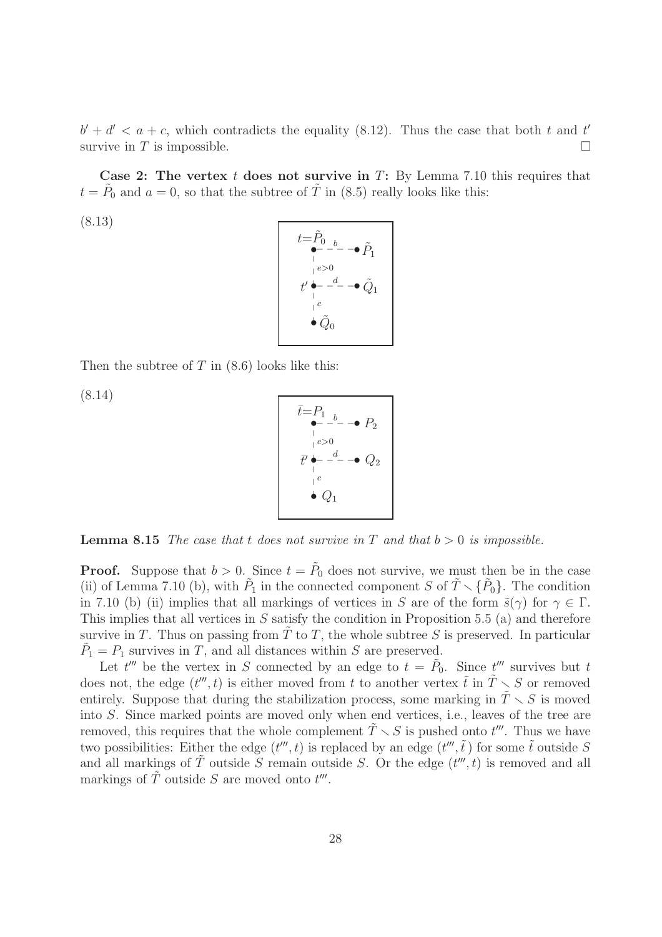$b' + d' < a + c$ , which contradicts the equality (8.12). Thus the case that both t and t' survive in T is impossible.

Case 2: The vertex  $t$  does not survive in  $T$ : By Lemma 7.10 this requires that  $t = \tilde{P}_0$  and  $a = 0$ , so that the subtree of  $\tilde{T}$  in (8.5) really looks like this:

(8.13)

| $t = P_0$ <sub>b</sub><br>$\tilde{P}_1$ |  |
|-----------------------------------------|--|
| e > 0<br>$\_d$<br>$t^{\prime}$<br>$Q_1$ |  |
| $\alpha$<br>$\bullet \tilde{Q}_0$       |  |

Then the subtree of  $T$  in  $(8.6)$  looks like this:

(8.14)

$$
\bar{t} = P_1 \longrightarrow P_2
$$
\n
$$
\begin{array}{c}\n \bullet - - - - \bullet P_2 \\
 \downarrow - \circ 0 \\
 \hline\n t' \longrightarrow - \bullet Q_2 \\
 \downarrow c \\
 \bullet Q_1\n \end{array}
$$

**Lemma 8.15** The case that t does not survive in T and that  $b > 0$  is impossible.

**Proof.** Suppose that  $b > 0$ . Since  $t = \tilde{P}_0$  does not survive, we must then be in the case (ii) of Lemma 7.10 (b), with  $\tilde{P}_1$  in the connected component S of  $\tilde{T} \setminus {\tilde{P}_0}$ . The condition in 7.10 (b) (ii) implies that all markings of vertices in S are of the form  $\tilde{s}(\gamma)$  for  $\gamma \in \Gamma$ . This implies that all vertices in  $S$  satisfy the condition in Proposition 5.5 (a) and therefore survive in T. Thus on passing from  $\overline{T}$  to T, the whole subtree S is preserved. In particular  $\tilde{P}_1 = P_1$  survives in T, and all distances within S are preserved.

Let  $t^{\prime\prime\prime}$  be the vertex in S connected by an edge to  $t = \tilde{P}_0$ . Since  $t^{\prime\prime\prime}$  survives but t does not, the edge  $(t''', t)$  is either moved from t to another vertex  $\tilde{t}$  in  $\tilde{T} \setminus S$  or removed entirely. Suppose that during the stabilization process, some marking in  $\tilde{T} \setminus S$  is moved into S. Since marked points are moved only when end vertices, i.e., leaves of the tree are removed, this requires that the whole complement  $\tilde{T} \setminus S$  is pushed onto  $t'''$ . Thus we have two possibilities: Either the edge  $(t^{\prime\prime\prime}, t)$  is replaced by an edge  $(t^{\prime\prime\prime}, \tilde{t})$  for some  $\tilde{t}$  outside S and all markings of  $\tilde{T}$  outside S remain outside S. Or the edge  $(t^{\prime\prime\prime}, t)$  is removed and all markings of  $\tilde{T}$  outside S are moved onto  $t'''$ .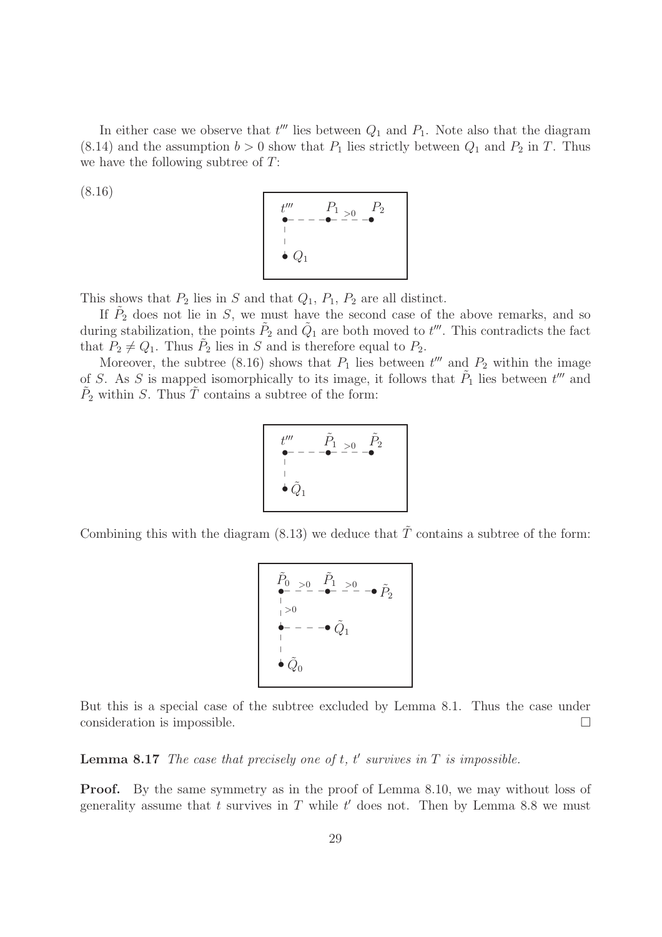In either case we observe that  $t^{\prime\prime\prime}$  lies between  $Q_1$  and  $P_1$ . Note also that the diagram  $(8.14)$  and the assumption  $b > 0$  show that  $P_1$  lies strictly between  $Q_1$  and  $P_2$  in T. Thus we have the following subtree of T:

$$
(8.16)
$$



This shows that  $P_2$  lies in S and that  $Q_1$ ,  $P_1$ ,  $P_2$  are all distinct.

If  $\tilde{P}_2$  does not lie in S, we must have the second case of the above remarks, and so during stabilization, the points  $\tilde{P}_2$  and  $\tilde{Q}_1$  are both moved to  $t'''$ . This contradicts the fact that  $P_2 \neq Q_1$ . Thus  $\tilde{P}_2$  lies in S and is therefore equal to  $P_2$ .

Moreover, the subtree (8.16) shows that  $P_1$  lies between  $t^{\prime\prime\prime}$  and  $P_2$  within the image of S. As S is mapped isomorphically to its image, it follows that  $\tilde{P}_1$  lies between  $t^{\prime\prime\prime}$  and  $\tilde{P}_2$  within S. Thus  $\tilde{T}$  contains a subtree of the form:

$$
t''' \qquad \tilde{P}_1 \searrow 0 \qquad \tilde{P}_2
$$
  
|-  

$$
\vdots
$$
  

$$
\vdots
$$
  

$$
\vdots
$$
  

$$
\tilde{Q}_1
$$

Combining this with the diagram (8.13) we deduce that  $\tilde{T}$  contains a subtree of the form:

$$
\begin{array}{ccc}\n\tilde{P}_0 > 0 & \tilde{P}_1 > 0 \\
\bullet & - & - & - & - \\
\hline\n\vdots & & & \\
\bullet & - & - & - & \tilde{Q}_1 \\
\bullet & & & & \\
\bullet & \tilde{Q}_0 &\end{array}
$$

But this is a special case of the subtree excluded by Lemma 8.1. Thus the case under consideration is impossible.

**Lemma 8.17** The case that precisely one of  $t$ ,  $t'$  survives in  $T$  is impossible.

Proof. By the same symmetry as in the proof of Lemma 8.10, we may without loss of generality assume that t survives in T while  $t'$  does not. Then by Lemma 8.8 we must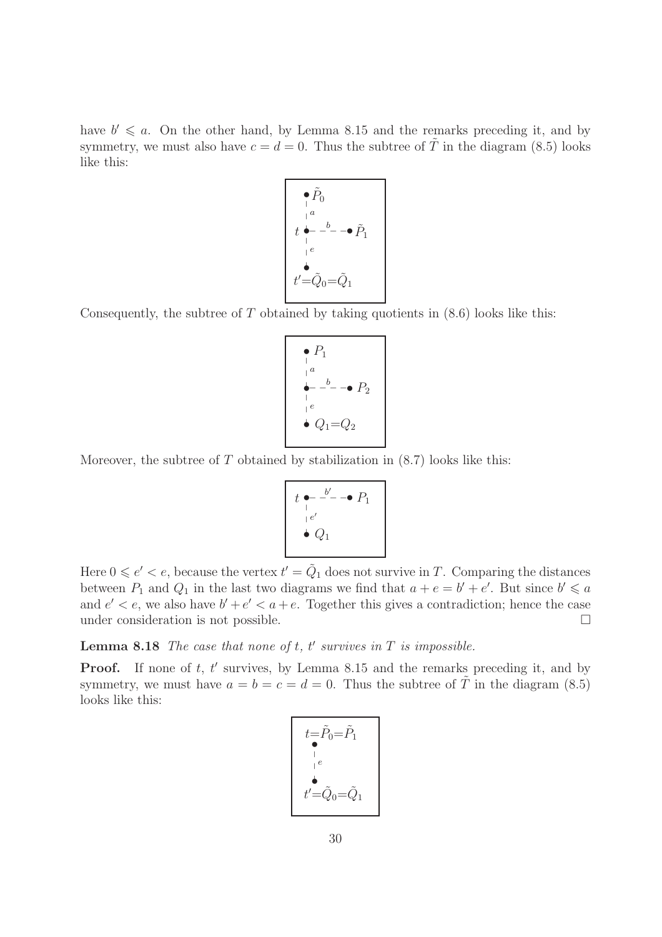have  $b' \leq a$ . On the other hand, by Lemma 8.15 and the remarks preceding it, and by symmetry, we must also have  $c = d = 0$ . Thus the subtree of  $\tilde{T}$  in the diagram (8.5) looks like this:



Consequently, the subtree of  $T$  obtained by taking quotients in  $(8.6)$  looks like this:

$$
\begin{array}{c}\n\bullet P_1 \\
\downarrow a \\
\bullet - \stackrel{b}{\leftarrow} -\bullet P_2 \\
\downarrow e \\
\bullet Q_1 = Q_2\n\end{array}
$$

Moreover, the subtree of  $T$  obtained by stabilization in  $(8.7)$  looks like this:

$$
t \underset{e}{\bullet} - \overset{b'}{\bullet} - \bullet P_1
$$
  

$$
\underset{\bullet}{\bullet} e'
$$

Here  $0 \leqslant e' < e$ , because the vertex  $t' = \tilde{Q}_1$  does not survive in T. Comparing the distances between  $P_1$  and  $Q_1$  in the last two diagrams we find that  $a + e = b' + e'$ . But since  $b' \leq a$ and  $e' < e$ , we also have  $b' + e' < a + e$ . Together this gives a contradiction; hence the case under consideration is not possible.

**Lemma 8.18** The case that none of  $t$ ,  $t'$  survives in  $T$  is impossible.

**Proof.** If none of  $t$ ,  $t'$  survives, by Lemma 8.15 and the remarks preceding it, and by symmetry, we must have  $a = b = c = d = 0$ . Thus the subtree of  $\tilde{T}$  in the diagram (8.5) looks like this:

$$
t=\tilde{P}_0=\tilde{P}_1
$$
\n
$$
t'=\tilde{Q}_0=\tilde{Q}_1
$$
\n
$$
t'=\tilde{Q}_0=\tilde{Q}_1
$$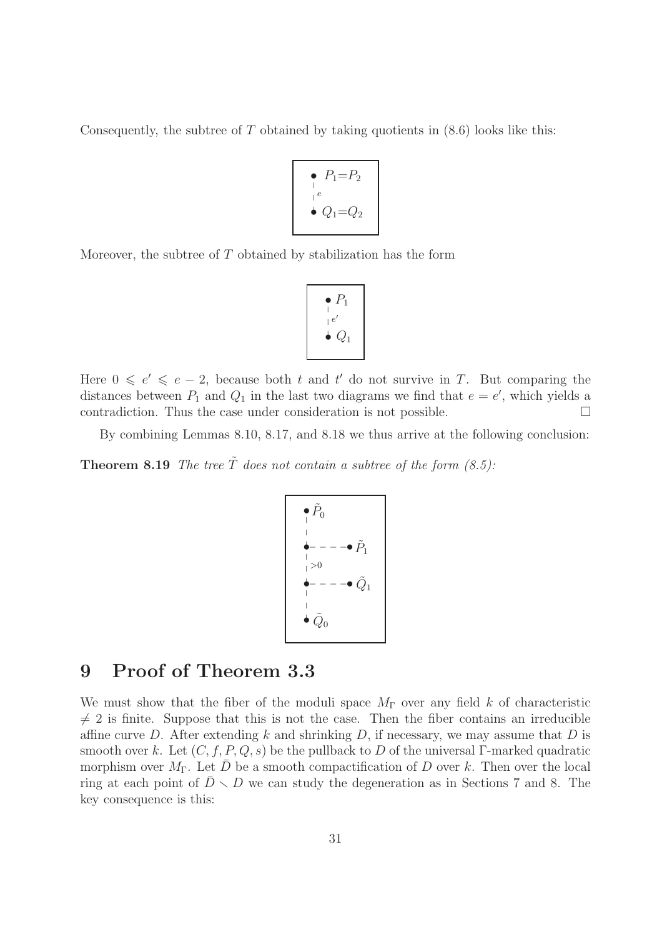Consequently, the subtree of  $T$  obtained by taking quotients in  $(8.6)$  looks like this:

$$
\begin{array}{c}\n\bullet \quad P_1 = P_2 \\
\vdots \\
\bullet \quad Q_1 = Q_2\n\end{array}
$$

Moreover, the subtree of  $T$  obtained by stabilization has the form

$$
\begin{array}{c}\n\bullet P_1 \\
\vdots \\
\bullet Q_1\n\end{array}
$$

Here  $0 \leq e' \leq e-2$ , because both t and t' do not survive in T. But comparing the distances between  $P_1$  and  $Q_1$  in the last two diagrams we find that  $e = e'$ , which yields a contradiction. Thus the case under consideration is not possible.  $\Box$ 

By combining Lemmas 8.10, 8.17, and 8.18 we thus arrive at the following conclusion:

**Theorem 8.19** The tree  $\tilde{T}$  does not contain a subtree of the form (8.5):

$$
\begin{array}{c}\n\bullet \tilde{P}_0 \\
\phantom{0}|\phantom{0} \\
\phantom{0}|\phantom{0} \\
\phantom{0}|\phantom{0} \\
\phantom{0}|\phantom{0} \\
\phantom{0}|\phantom{0} \\
\phantom{0}|\phantom{0} \\
\phantom{0}|\phantom{0} \\
\phantom{0}|\phantom{0} \\
\phantom{0}|\phantom{0} \\
\phantom{0}|\phantom{0} \\
\phantom{0}|\phantom{0} \\
\phantom{0}|\phantom{0} \\
\phantom{0}|\phantom{0} \\
\phantom{0}|\phantom{0} \\
\phantom{0}|\phantom{0} \\
\phantom{0}|\phantom{0} \\
\phantom{0}|\phantom{0} \\
\phantom{0}|\phantom{0} \\
\phantom{0}|\phantom{0} \\
\phantom{0}|\phantom{0} \\
\phantom{0}|\phantom{0} \\
\phantom{0}|\phantom{0} \\
\phantom{0}|\phantom{0} \\
\phantom{0}|\phantom{0} \\
\phantom{0}|\phantom{0} \\
\phantom{0}|\phantom{0} \\
\phantom{0}|\phantom{0} \\
\phantom{0}|\phantom{0} \\
\phantom{0}|\phantom{0} \\
\phantom{0}|\phantom{0} \\
\phantom{0}|\phantom{0} \\
\phantom{0}|\phantom{0} \\
\phantom{0}|\phantom{0} \\
\phantom{0}|\phantom{0} \\
\phantom{0}|\phantom{0} \\
\phantom{0}|\phantom{0} \\
\phantom{0}|\phantom{0} \\
\phantom{0}|\phantom{0} \\
\phantom{0}|\phantom{0} \\
\phantom{0}|\phantom{0} \\
\phantom{0}|\phantom{0} \\
\phantom{0}|\phantom{0} \\
\phantom{0}|\phantom{0} \\
\phantom{0}|\phantom{0} \\
\phantom{0}|\phantom{0} \\
\phantom{0}|\phantom{0} \\
\phantom{0}|\phantom{0} \\
\phantom{0}|\phantom{0} \\
\phantom{0}|\phantom{0} \\
\phantom{0}|\phantom{0} \\
\phantom{0}|\phantom{0} \\
\phantom{0}|\phantom{0} \\
\phantom{0}|\phantom{0} \\
\phantom{0}|\phantom{0} \\
\phantom{0}|\phantom{0} \\
\phantom{0}|\phantom{0} \\
\phantom{0}|\phantom{0} \\
\
$$

### 9 Proof of Theorem 3.3

We must show that the fiber of the moduli space  $M_{\Gamma}$  over any field k of characteristic  $\neq$  2 is finite. Suppose that this is not the case. Then the fiber contains an irreducible affine curve D. After extending k and shrinking D, if necessary, we may assume that D is smooth over k. Let  $(C, f, P, Q, s)$  be the pullback to D of the universal Γ-marked quadratic morphism over  $M_{\Gamma}$ . Let  $\bar{D}$  be a smooth compactification of D over k. Then over the local ring at each point of  $\bar{D} \setminus D$  we can study the degeneration as in Sections 7 and 8. The key consequence is this: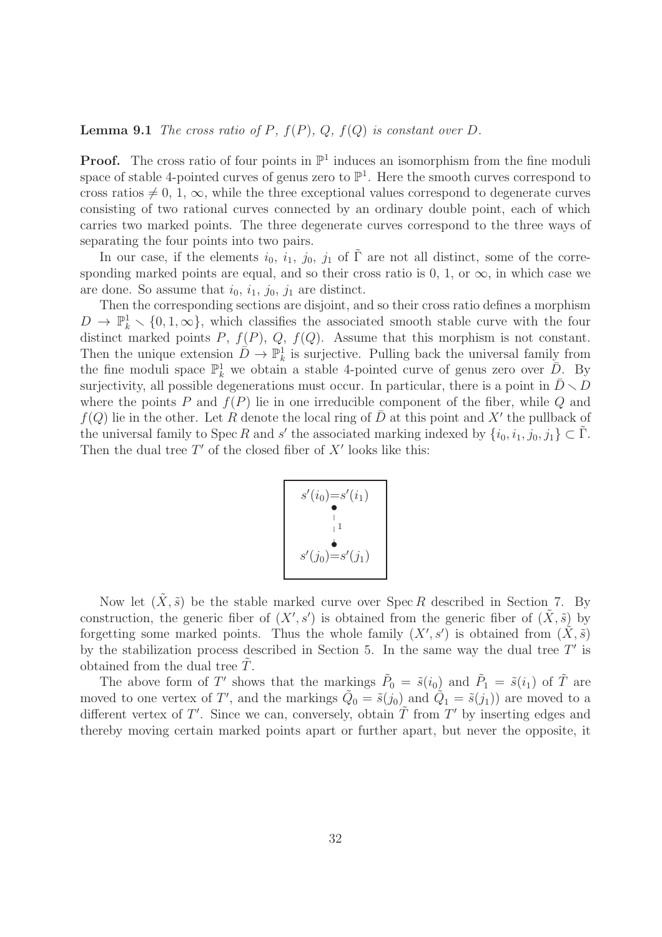#### **Lemma 9.1** The cross ratio of P,  $f(P)$ , Q,  $f(Q)$  is constant over D.

**Proof.** The cross ratio of four points in  $\mathbb{P}^1$  induces an isomorphism from the fine moduli space of stable 4-pointed curves of genus zero to  $\mathbb{P}^1$ . Here the smooth curves correspond to cross ratios  $\neq 0, 1, \infty$ , while the three exceptional values correspond to degenerate curves consisting of two rational curves connected by an ordinary double point, each of which carries two marked points. The three degenerate curves correspond to the three ways of separating the four points into two pairs.

In our case, if the elements  $i_0$ ,  $i_1$ ,  $j_0$ ,  $j_1$  of  $\tilde{\Gamma}$  are not all distinct, some of the corresponding marked points are equal, and so their cross ratio is 0, 1, or  $\infty$ , in which case we are done. So assume that  $i_0$ ,  $i_1$ ,  $j_0$ ,  $j_1$  are distinct.

Then the corresponding sections are disjoint, and so their cross ratio defines a morphism  $D \to \mathbb{P}_k^1 \setminus \{0, 1, \infty\}$ , which classifies the associated smooth stable curve with the four distinct marked points  $P$ ,  $f(P)$ ,  $Q$ ,  $f(Q)$ . Assume that this morphism is not constant. Then the unique extension  $\bar{D} \to \mathbb{P}^1_k$  is surjective. Pulling back the universal family from the fine moduli space  $\mathbb{P}^1_k$  we obtain a stable 4-pointed curve of genus zero over  $\overline{D}$ . By surjectivity, all possible degenerations must occur. In particular, there is a point in  $\bar{D} \setminus D$ where the points P and  $f(P)$  lie in one irreducible component of the fiber, while Q and  $f(Q)$  lie in the other. Let R denote the local ring of  $\bar{D}$  at this point and X' the pullback of the universal family to Spec R and s' the associated marking indexed by  $\{i_0, i_1, j_0, j_1\} \subset \tilde{\Gamma}$ . Then the dual tree  $T'$  of the closed fiber of  $X'$  looks like this:



Now let  $(X, \tilde{s})$  be the stable marked curve over Spec R described in Section 7. By construction, the generic fiber of  $(X', s')$  is obtained from the generic fiber of  $(\tilde{X}, \tilde{s})$  by forgetting some marked points. Thus the whole family  $(X', s')$  is obtained from  $(\tilde{X}, \tilde{s})$ by the stabilization process described in Section 5. In the same way the dual tree  $T'$  is obtained from the dual tree  $T$ .

The above form of T' shows that the markings  $\tilde{P}_0 = \tilde{s}(i_0)$  and  $\tilde{P}_1 = \tilde{s}(i_1)$  of  $\tilde{T}$  are moved to one vertex of T', and the markings  $\tilde{Q}_0 = \tilde{s}(j_0)$  and  $\tilde{Q}_1 = \tilde{s}(j_1)$  are moved to a different vertex of T'. Since we can, conversely, obtain  $\tilde{T}$  from T' by inserting edges and thereby moving certain marked points apart or further apart, but never the opposite, it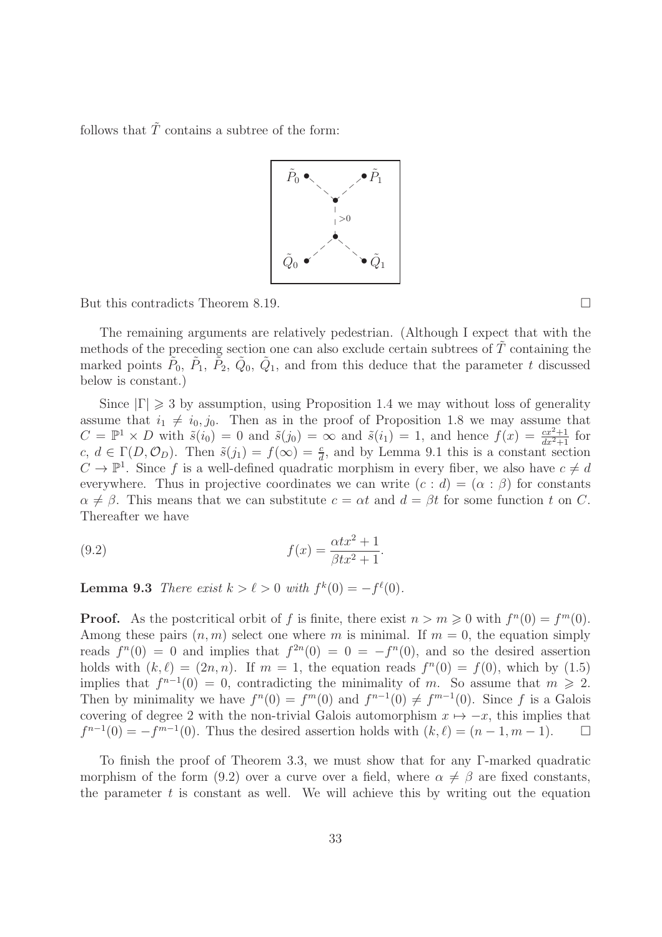follows that  $\tilde{T}$  contains a subtree of the form:



But this contradicts Theorem 8.19.

The remaining arguments are relatively pedestrian. (Although I expect that with the methods of the preceding section one can also exclude certain subtrees of  $\tilde{T}$  containing the marked points  $\tilde{P}_0$ ,  $\tilde{P}_1$ ,  $\tilde{P}_2$ ,  $\tilde{Q}_0$ ,  $\tilde{Q}_1$ , and from this deduce that the parameter t discussed below is constant.)

Since  $|\Gamma| \geq 3$  by assumption, using Proposition 1.4 we may without loss of generality assume that  $i_1 \neq i_0, j_0$ . Then as in the proof of Proposition 1.8 we may assume that  $C = \mathbb{P}^1 \times D$  with  $\tilde{s}(i_0) = 0$  and  $\tilde{s}(j_0) = \infty$  and  $\tilde{s}(i_1) = 1$ , and hence  $f(x) = \frac{cx^2+1}{dx^2+1}$  for  $c, d \in \Gamma(D, \mathcal{O}_D)$ . Then  $\tilde{s}(j_1) = f(\infty) = \frac{c}{d}$ , and by Lemma 9.1 this is a constant section  $C \to \mathbb{P}^1$ . Since f is a well-defined quadratic morphism in every fiber, we also have  $c \neq d$ everywhere. Thus in projective coordinates we can write  $(c : d) = (\alpha : \beta)$  for constants  $\alpha \neq \beta$ . This means that we can substitute  $c = \alpha t$  and  $d = \beta t$  for some function t on C. Thereafter we have

(9.2) 
$$
f(x) = \frac{\alpha tx^2 + 1}{\beta tx^2 + 1}.
$$

**Lemma 9.3** There exist  $k > l > 0$  with  $f^k(0) = -f^l(0)$ .

**Proof.** As the postcritical orbit of f is finite, there exist  $n > m \geqslant 0$  with  $f^{(n)}(0) = f^{(n)}(0)$ . Among these pairs  $(n, m)$  select one where m is minimal. If  $m = 0$ , the equation simply reads  $f^{n}(0) = 0$  and implies that  $f^{2n}(0) = 0 = -f^{n}(0)$ , and so the desired assertion holds with  $(k, \ell) = (2n, n)$ . If  $m = 1$ , the equation reads  $f^{(n)}(0) = f(0)$ , which by  $(1.5)$ implies that  $f^{n-1}(0) = 0$ , contradicting the minimality of m. So assume that  $m \ge 2$ . Then by minimality we have  $f^{(0)} = f^{(0)}(0)$  and  $f^{(n-1)}(0) \neq f^{(n-1)}(0)$ . Since f is a Galois covering of degree 2 with the non-trivial Galois automorphism  $x \mapsto -x$ , this implies that  $f^{n-1}(0) = -f^{m-1}(0)$ . Thus the desired assertion holds with  $(k, \ell) = (n-1, m-1)$ .  $f^{n-1}(0) = -f^{m-1}(0)$ . Thus the desired assertion holds with  $(k, \ell) = (n-1, m-1)$ .  $\Box$ 

To finish the proof of Theorem 3.3, we must show that for any Γ-marked quadratic morphism of the form (9.2) over a curve over a field, where  $\alpha \neq \beta$  are fixed constants, the parameter  $t$  is constant as well. We will achieve this by writing out the equation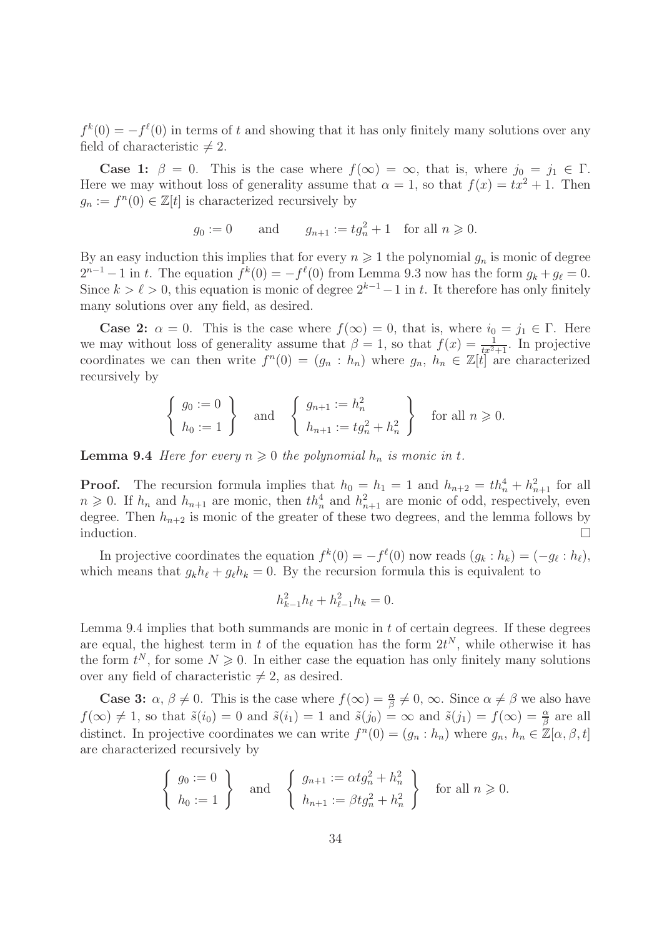$f^k(0) = -f^l(0)$  in terms of t and showing that it has only finitely many solutions over any field of characteristic  $\neq 2$ .

**Case 1:**  $\beta = 0$ . This is the case where  $f(\infty) = \infty$ , that is, where  $j_0 = j_1 \in \Gamma$ . Here we may without loss of generality assume that  $\alpha = 1$ , so that  $f(x) = tx^2 + 1$ . Then  $g_n := f^n(0) \in \mathbb{Z}[t]$  is characterized recursively by

$$
g_0 := 0
$$
 and  $g_{n+1} := tg_n^2 + 1$  for all  $n \ge 0$ .

By an easy induction this implies that for every  $n \geq 1$  the polynomial  $g_n$  is monic of degree  $2^{n-1} - 1$  in t. The equation  $f^k(0) = -f^{\ell}(0)$  from Lemma 9.3 now has the form  $g_k + g_{\ell} = 0$ . Since  $k > \ell > 0$ , this equation is monic of degree  $2^{k-1}-1$  in t. It therefore has only finitely many solutions over any field, as desired.

**Case 2:**  $\alpha = 0$ . This is the case where  $f(\infty) = 0$ , that is, where  $i_0 = j_1 \in \Gamma$ . Here we may without loss of generality assume that  $\beta = 1$ , so that  $f(x) = \frac{1}{tx^2+1}$ . In projective coordinates we can then write  $f^{(n)}(0) = (g_n : h_n)$  where  $g_n, h_n \in \mathbb{Z}[t]$  are characterized recursively by

$$
\left\{\n\begin{array}{l}\ng_0 := 0 \\
h_0 := 1\n\end{array}\n\right\}\n\quad \text{and} \quad\n\left\{\n\begin{array}{l}\ng_{n+1} := h_n^2 \\
h_{n+1} := tg_n^2 + h_n^2\n\end{array}\n\right\}\n\quad \text{for all } n \geq 0.
$$

**Lemma 9.4** Here for every  $n \geq 0$  the polynomial  $h_n$  is monic in t.

**Proof.** The recursion formula implies that  $h_0 = h_1 = 1$  and  $h_{n+2} = th_n^4 + h_{n+1}^2$  for all  $n \geq 0$ . If  $h_n$  and  $h_{n+1}$  are monic, then  $th_n^4$  and  $h_{n+1}^2$  are monic of odd, respectively, even degree. Then  $h_{n+2}$  is monic of the greater of these two degrees, and the lemma follows by induction.  $\Box$ 

In projective coordinates the equation  $f^k(0) = -f^{\ell}(0)$  now reads  $(g_k : h_k) = (-g_{\ell} : h_{\ell}),$ which means that  $g_k h_\ell + g_\ell h_k = 0$ . By the recursion formula this is equivalent to

$$
h_{k-1}^2 h_\ell + h_{\ell-1}^2 h_k = 0.
$$

Lemma 9.4 implies that both summands are monic in  $t$  of certain degrees. If these degrees are equal, the highest term in t of the equation has the form  $2t^N$ , while otherwise it has the form  $t^N$ , for some  $N \geq 0$ . In either case the equation has only finitely many solutions over any field of characteristic  $\neq 2$ , as desired.

**Case 3:**  $\alpha, \beta \neq 0$ . This is the case where  $f(\infty) = \frac{\alpha}{\beta} \neq 0$ ,  $\infty$ . Since  $\alpha \neq \beta$  we also have  $f(\infty) \neq 1$ , so that  $\tilde{s}(i_0) = 0$  and  $\tilde{s}(i_1) = 1$  and  $\tilde{s}(j_0) = \infty$  and  $\tilde{s}(j_1) = f(\infty) = \frac{\alpha}{\beta}$  are all distinct. In projective coordinates we can write  $f^{(n)}(0) = (g_n : h_n)$  where  $g_n, h_n \in \mathbb{Z}[\alpha, \beta, t]$ are characterized recursively by

$$
\begin{cases} g_0 := 0 \\ h_0 := 1 \end{cases} \text{ and } \begin{cases} g_{n+1} := \alpha t g_n^2 + h_n^2 \\ h_{n+1} := \beta t g_n^2 + h_n^2 \end{cases} \text{ for all } n \ge 0.
$$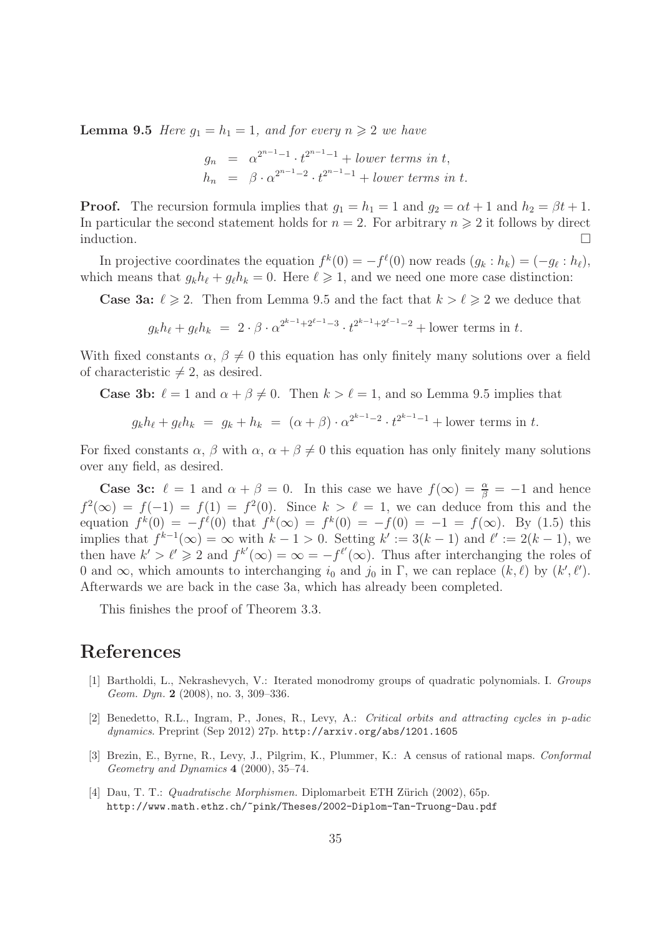**Lemma 9.5** Here  $g_1 = h_1 = 1$ , and for every  $n \geq 2$  we have

$$
g_n = \alpha^{2^{n-1}-1} \cdot t^{2^{n-1}-1} + lower \ terms \ in \ t,
$$
  
\n
$$
h_n = \beta \cdot \alpha^{2^{n-1}-2} \cdot t^{2^{n-1}-1} + lower \ terms \ in \ t.
$$

**Proof.** The recursion formula implies that  $g_1 = h_1 = 1$  and  $g_2 = \alpha t + 1$  and  $h_2 = \beta t + 1$ . In particular the second statement holds for  $n = 2$ . For arbitrary  $n \geq 2$  it follows by direct induction.  $\Box$ 

In projective coordinates the equation  $f^k(0) = -f^{\ell}(0)$  now reads  $(g_k : h_k) = (-g_{\ell} : h_{\ell}),$ which means that  $g_k h_\ell + g_\ell h_k = 0$ . Here  $\ell \geq 1$ , and we need one more case distinction:

**Case 3a:**  $\ell \ge 2$ . Then from Lemma 9.5 and the fact that  $k > \ell \ge 2$  we deduce that

 $g_k h_\ell + g_\ell h_k = 2 \cdot \beta \cdot \alpha^{2^{k-1}+2^{\ell-1}-3} \cdot t^{2^{k-1}+2^{\ell-1}-2} + \text{lower terms in } t.$ 

With fixed constants  $\alpha$ ,  $\beta \neq 0$  this equation has only finitely many solutions over a field of characteristic  $\neq 2$ , as desired.

**Case 3b:**  $\ell = 1$  and  $\alpha + \beta \neq 0$ . Then  $k > \ell = 1$ , and so Lemma 9.5 implies that

$$
g_k h_\ell + g_\ell h_k = g_k + h_k = (\alpha + \beta) \cdot \alpha^{2^{k-1}-2} \cdot t^{2^{k-1}-1} + \text{lower terms in } t.
$$

For fixed constants  $\alpha$ ,  $\beta$  with  $\alpha$ ,  $\alpha + \beta \neq 0$  this equation has only finitely many solutions over any field, as desired.

**Case 3c:**  $\ell = 1$  and  $\alpha + \beta = 0$ . In this case we have  $f(\infty) = \frac{\alpha}{\beta} = -1$  and hence  $f^2(\infty) = f(-1) = f(1) = f^2(0)$ . Since  $k > \ell = 1$ , we can deduce from this and the equation  $f^k(0) = -f^{\ell}(0)$  that  $f^k(\infty) = f^k(0) = -f(0) = -1 = f(\infty)$ . By (1.5) this implies that  $f^{k-1}(\infty) = \infty$  with  $k-1 > 0$ . Setting  $k' := 3(k-1)$  and  $\ell' := 2(k-1)$ , we then have  $k' > \ell' \geq 2$  and  $f^{k'}(\infty) = \infty = -f^{\ell'}(\infty)$ . Thus after interchanging the roles of 0 and  $\infty$ , which amounts to interchanging  $i_0$  and  $j_0$  in  $\Gamma$ , we can replace  $(k, \ell)$  by  $(k', \ell')$ . Afterwards we are back in the case 3a, which has already been completed.

This finishes the proof of Theorem 3.3.

### References

- [1] Bartholdi, L., Nekrashevych, V.: Iterated monodromy groups of quadratic polynomials. I. Groups Geom. Dyn. 2 (2008), no. 3, 309-336.
- [2] Benedetto, R.L., Ingram, P., Jones, R., Levy, A.: Critical orbits and attracting cycles in p-adic dynamics. Preprint (Sep 2012) 27p. http://arxiv.org/abs/1201.1605
- [3] Brezin, E., Byrne, R., Levy, J., Pilgrim, K., Plummer, K.: A census of rational maps. Conformal Geometry and Dynamics 4 (2000), 35–74.
- [4] Dau, T. T.: *Quadratische Morphismen.* Diplomarbeit ETH Zürich (2002), 65p. http://www.math.ethz.ch/~pink/Theses/2002-Diplom-Tan-Truong-Dau.pdf